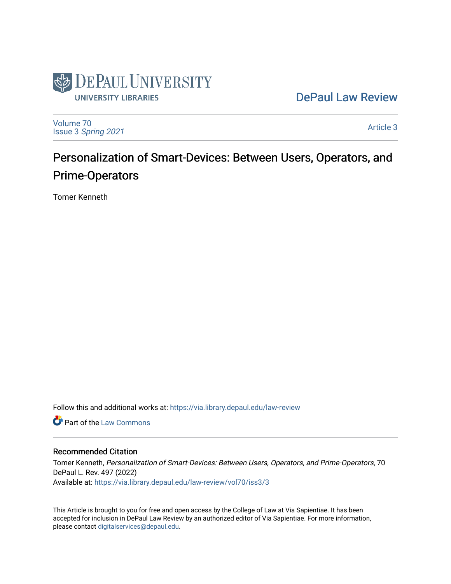

# [DePaul Law Review](https://via.library.depaul.edu/law-review)

[Volume 70](https://via.library.depaul.edu/law-review/vol70) Issue 3 [Spring 2021](https://via.library.depaul.edu/law-review/vol70/iss3) 

[Article 3](https://via.library.depaul.edu/law-review/vol70/iss3/3) 

# Personalization of Smart-Devices: Between Users, Operators, and Prime-Operators

Tomer Kenneth

Follow this and additional works at: [https://via.library.depaul.edu/law-review](https://via.library.depaul.edu/law-review?utm_source=via.library.depaul.edu%2Flaw-review%2Fvol70%2Fiss3%2F3&utm_medium=PDF&utm_campaign=PDFCoverPages) 

**C** Part of the [Law Commons](http://network.bepress.com/hgg/discipline/578?utm_source=via.library.depaul.edu%2Flaw-review%2Fvol70%2Fiss3%2F3&utm_medium=PDF&utm_campaign=PDFCoverPages)

# Recommended Citation

Tomer Kenneth, Personalization of Smart-Devices: Between Users, Operators, and Prime-Operators, 70 DePaul L. Rev. 497 (2022) Available at: [https://via.library.depaul.edu/law-review/vol70/iss3/3](https://via.library.depaul.edu/law-review/vol70/iss3/3?utm_source=via.library.depaul.edu%2Flaw-review%2Fvol70%2Fiss3%2F3&utm_medium=PDF&utm_campaign=PDFCoverPages) 

This Article is brought to you for free and open access by the College of Law at Via Sapientiae. It has been accepted for inclusion in DePaul Law Review by an authorized editor of Via Sapientiae. For more information, please contact [digitalservices@depaul.edu.](mailto:digitalservices@depaul.edu)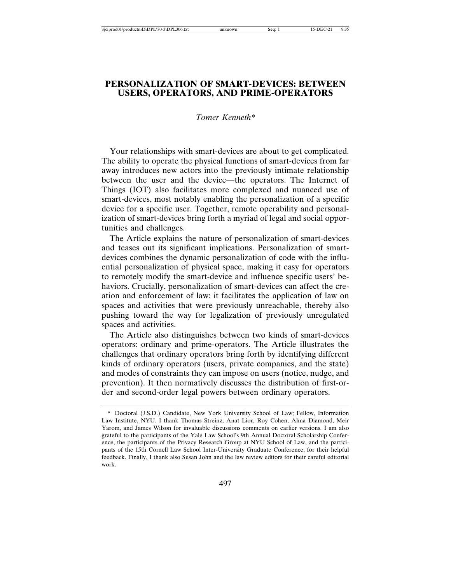# **PERSONALIZATION OF SMART-DEVICES: BETWEEN USERS, OPERATORS, AND PRIME-OPERATORS**

### *Tomer Kenneth\**

Your relationships with smart-devices are about to get complicated. The ability to operate the physical functions of smart-devices from far away introduces new actors into the previously intimate relationship between the user and the device—the operators. The Internet of Things (IOT) also facilitates more complexed and nuanced use of smart-devices, most notably enabling the personalization of a specific device for a specific user. Together, remote operability and personalization of smart-devices bring forth a myriad of legal and social opportunities and challenges.

The Article explains the nature of personalization of smart-devices and teases out its significant implications. Personalization of smartdevices combines the dynamic personalization of code with the influential personalization of physical space, making it easy for operators to remotely modify the smart-device and influence specific users' behaviors. Crucially, personalization of smart-devices can affect the creation and enforcement of law: it facilitates the application of law on spaces and activities that were previously unreachable, thereby also pushing toward the way for legalization of previously unregulated spaces and activities.

The Article also distinguishes between two kinds of smart-devices operators: ordinary and prime-operators. The Article illustrates the challenges that ordinary operators bring forth by identifying different kinds of ordinary operators (users, private companies, and the state) and modes of constraints they can impose on users (notice, nudge, and prevention). It then normatively discusses the distribution of first-order and second-order legal powers between ordinary operators.

<sup>\*</sup> Doctoral (J.S.D.) Candidate, New York University School of Law; Fellow, Information Law Institute, NYU. I thank Thomas Streinz, Anat Lior, Roy Cohen, Alma Diamond, Meir Yarom, and James Wilson for invaluable discussions comments on earlier versions. I am also grateful to the participants of the Yale Law School's 9th Annual Doctoral Scholarship Conference, the participants of the Privacy Research Group at NYU School of Law, and the participants of the 15th Cornell Law School Inter-University Graduate Conference, for their helpful feedback. Finally, I thank also Susan John and the law review editors for their careful editorial work.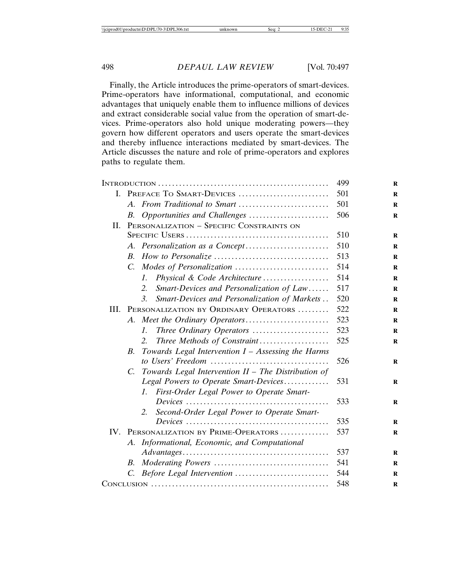Finally, the Article introduces the prime-operators of smart-devices. Prime-operators have informational, computational, and economic advantages that uniquely enable them to influence millions of devices and extract considerable social value from the operation of smart-devices. Prime-operators also hold unique moderating powers—they govern how different operators and users operate the smart-devices and thereby influence interactions mediated by smart-devices. The Article discusses the nature and role of prime-operators and explores paths to regulate them.

|      | 499                      |                                                                                            |     |
|------|--------------------------|--------------------------------------------------------------------------------------------|-----|
| L.   | PREFACE TO SMART-DEVICES | 501                                                                                        |     |
|      | $A_{-}$                  | From Traditional to Smart                                                                  | 501 |
|      | B.                       | Opportunities and Challenges                                                               | 506 |
| H.   |                          | PERSONALIZATION - SPECIFIC CONSTRAINTS ON                                                  |     |
|      |                          |                                                                                            | 510 |
|      |                          |                                                                                            | 510 |
|      | B.                       |                                                                                            | 513 |
|      | $C_{\cdot}$              |                                                                                            | 514 |
|      |                          | Physical & Code Architecture<br>$\mathcal{I}$ .                                            | 514 |
|      |                          | Smart-Devices and Personalization of Law<br>2.                                             | 517 |
|      |                          | 3.<br>Smart-Devices and Personalization of Markets                                         | 520 |
| III. |                          | PERSONALIZATION BY ORDINARY OPERATORS                                                      | 522 |
|      |                          |                                                                                            | 523 |
|      |                          | Three Ordinary Operators<br>$\mathcal{I}$ .                                                | 523 |
|      |                          | Three Methods of Constraint<br>2.                                                          | 525 |
|      | В.                       | Towards Legal Intervention $I -$ Assessing the Harms                                       |     |
|      |                          |                                                                                            | 526 |
|      | $C_{\cdot}$              | Towards Legal Intervention II - The Distribution of                                        |     |
|      |                          | Legal Powers to Operate Smart-Devices                                                      | 531 |
|      |                          | First-Order Legal Power to Operate Smart-<br>L                                             |     |
|      |                          |                                                                                            | 533 |
|      |                          | Second-Order Legal Power to Operate Smart-<br>2.                                           |     |
|      |                          |                                                                                            | 535 |
| IV.  |                          | PERSONALIZATION BY PRIME-OPERATORS                                                         | 537 |
|      | A.                       | Informational, Economic, and Computational                                                 | 537 |
|      | B.                       | $Advantages \dots \dots \dots \dots \dots \dots \dots \dots \dots \dots \dots \dots \dots$ | 541 |
|      |                          |                                                                                            | 544 |
|      | $C_{\cdot}$              |                                                                                            |     |
|      |                          |                                                                                            | 548 |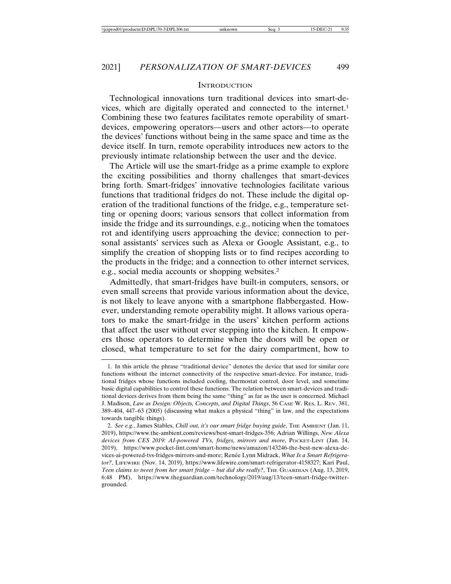#### **INTRODUCTION**

Technological innovations turn traditional devices into smart-devices, which are digitally operated and connected to the internet.1 Combining these two features facilitates remote operability of smartdevices, empowering operators—users and other actors—to operate the devices' functions without being in the same space and time as the device itself. In turn, remote operability introduces new actors to the previously intimate relationship between the user and the device.

The Article will use the smart-fridge as a prime example to explore the exciting possibilities and thorny challenges that smart-devices bring forth. Smart-fridges' innovative technologies facilitate various functions that traditional fridges do not. These include the digital operation of the traditional functions of the fridge, e.g., temperature setting or opening doors; various sensors that collect information from inside the fridge and its surroundings, e.g., noticing when the tomatoes rot and identifying users approaching the device; connection to personal assistants' services such as Alexa or Google Assistant, e.g., to simplify the creation of shopping lists or to find recipes according to the products in the fridge; and a connection to other internet services, e.g., social media accounts or shopping websites.2

Admittedly, that smart-fridges have built-in computers, sensors, or even small screens that provide various information about the device, is not likely to leave anyone with a smartphone flabbergasted. However, understanding remote operability might. It allows various operators to make the smart-fridge in the users' kitchen perform actions that affect the user without ever stepping into the kitchen. It empowers those operators to determine when the doors will be open or closed, what temperature to set for the dairy compartment, how to

<sup>1.</sup> In this article the phrase "traditional device" denotes the device that used for similar core functions without the internet connectivity of the respective smart-device. For instance, traditional fridges whose functions included cooling, thermostat control, door level, and sometime basic digital capabilities to control these functions. The relation between smart-devices and traditional devices derives from them being the same "thing" as far as the user is concerned. Michael J. Madison, *Law as Design: Objects, Concepts, and Digital Things*, 56 CASE W. RES. L. REV. 381, 389–404, 447–63 (2005) (discussing what makes a physical "thing" in law, and the expectations towards tangible things).

<sup>2.</sup> See e.g., James Stables, *Chill out, it's our smart fridge buying guide*, The AMBIENT (Jan. 11, 2019), https://www.the-ambient.com/reviews/best-smart-fridges-356; Adrian Willings, *New Alexa devices from CES 2019: AI-powered TVs, fridges, mirrors and more*, POCKET-LINT (Jan. 14, 2019), https://www.pocket-lint.com/smart-home/news/amazon/143246-the-best-new-alexa-devices-ai-powered-tvs-fridges-mirrors-and-more; Renée Lynn Midrack, *What Is a Smart Refrigerator?*, LIFEWIRE (Nov. 14, 2019), https://www.lifewire.com/smart-refrigerator-4158327; Kari Paul, *Teen claims to tweet from her smart fridge – but did she really?*, THE GUARDIAN (Aug. 13, 2019, 6:48 PM), https://www.theguardian.com/technology/2019/aug/13/teen-smart-fridge-twittergrounded.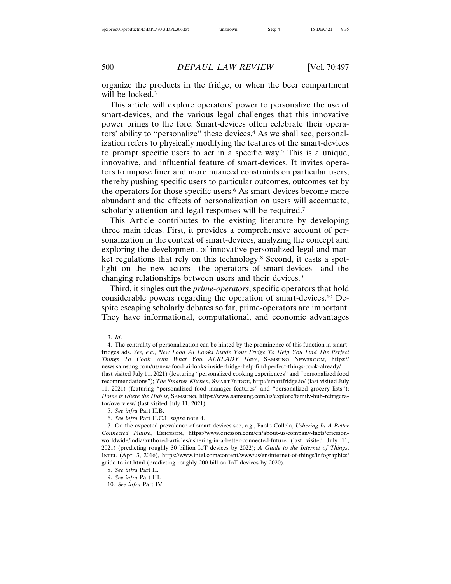organize the products in the fridge, or when the beer compartment will be locked.<sup>3</sup>

This article will explore operators' power to personalize the use of smart-devices, and the various legal challenges that this innovative power brings to the fore. Smart-devices often celebrate their operators' ability to "personalize" these devices.4 As we shall see, personalization refers to physically modifying the features of the smart-devices to prompt specific users to act in a specific way.5 This is a unique, innovative, and influential feature of smart-devices. It invites operators to impose finer and more nuanced constraints on particular users, thereby pushing specific users to particular outcomes, outcomes set by the operators for those specific users.6 As smart-devices become more abundant and the effects of personalization on users will accentuate, scholarly attention and legal responses will be required.<sup>7</sup>

This Article contributes to the existing literature by developing three main ideas. First, it provides a comprehensive account of personalization in the context of smart-devices, analyzing the concept and exploring the development of innovative personalized legal and market regulations that rely on this technology.<sup>8</sup> Second, it casts a spotlight on the new actors—the operators of smart-devices—and the changing relationships between users and their devices.9

Third, it singles out the *prime-operators*, specific operators that hold considerable powers regarding the operation of smart-devices.10 Despite escaping scholarly debates so far, prime-operators are important. They have informational, computational, and economic advantages

<sup>3.</sup> *Id*.

<sup>4.</sup> The centrality of personalization can be hinted by the prominence of this function in smartfridges ads. *See, e.g.*, *New Food AI Looks Inside Your Fridge To Help You Find The Perfect Things To Cook With What You ALREADY Have*, SAMSUNG NEWSROOM, https:// news.samsung.com/us/new-food-ai-looks-inside-fridge-help-find-perfect-things-cook-already/ (last visited July 11, 2021) (featuring "personalized cooking experiences" and "personalized food recommendations"); *The Smarter Kitchen*, SMARTFRIDGE, http://smartfridge.io/ (last visited July 11, 2021) (featuring "personalized food manager features" and "personalized grocery lists"); *Home is where the Hub is*, SAMSUNG, https://www.samsung.com/us/explore/family-hub-refrigerator/overview/ (last visited July 11, 2021).

<sup>5.</sup> *See infra* Part II.B.

<sup>6.</sup> *See infra* Part II.C.1; *supra* note 4.

<sup>7.</sup> On the expected prevalence of smart-devices see, e.g., Paolo Collela, *Ushering In A Better Connected Future*, ERICSSON, https://www.ericsson.com/en/about-us/company-facts/ericssonworldwide/india/authored-articles/ushering-in-a-better-connected-future (last visited July 11, 2021) (predicting roughly 30 billion IoT devices by 2022); *A Guide to the Internet of Things*, INTEL (Apr. 3, 2016), https://www.intel.com/content/www/us/en/internet-of-things/infographics/ guide-to-iot.html (predicting roughly 200 billion IoT devices by 2020).

<sup>8.</sup> *See infra* Part II.

<sup>9.</sup> *See infra* Part III.

<sup>10.</sup> *See infra* Part IV.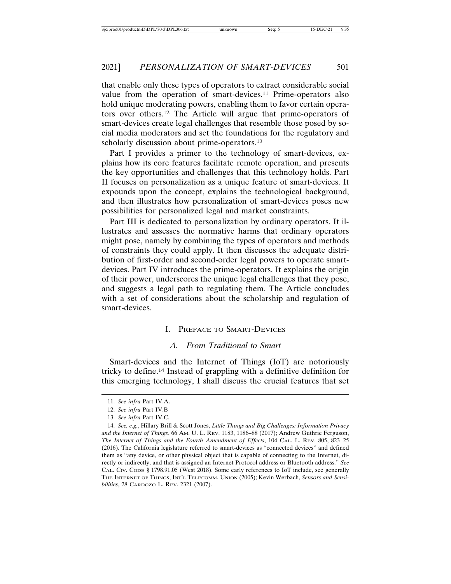that enable only these types of operators to extract considerable social value from the operation of smart-devices.11 Prime-operators also hold unique moderating powers, enabling them to favor certain operators over others.12 The Article will argue that prime-operators of smart-devices create legal challenges that resemble those posed by social media moderators and set the foundations for the regulatory and scholarly discussion about prime-operators.<sup>13</sup>

Part I provides a primer to the technology of smart-devices, explains how its core features facilitate remote operation, and presents the key opportunities and challenges that this technology holds. Part II focuses on personalization as a unique feature of smart-devices. It expounds upon the concept, explains the technological background, and then illustrates how personalization of smart-devices poses new possibilities for personalized legal and market constraints.

Part III is dedicated to personalization by ordinary operators. It illustrates and assesses the normative harms that ordinary operators might pose, namely by combining the types of operators and methods of constraints they could apply. It then discusses the adequate distribution of first-order and second-order legal powers to operate smartdevices. Part IV introduces the prime-operators. It explains the origin of their power, underscores the unique legal challenges that they pose, and suggests a legal path to regulating them. The Article concludes with a set of considerations about the scholarship and regulation of smart-devices.

# I. PREFACE TO SMART-DEVICES

#### *A. From Traditional to Smart*

Smart-devices and the Internet of Things (IoT) are notoriously tricky to define.14 Instead of grappling with a definitive definition for this emerging technology, I shall discuss the crucial features that set

<sup>11.</sup> *See infra* Part IV.A.

<sup>12.</sup> *See infra* Part IV.B

<sup>13.</sup> *See infra* Part IV.C.

<sup>14.</sup> *See, e.g.*, Hillary Brill & Scott Jones, *Little Things and Big Challenges: Information Privacy and the Internet of Things*, 66 AM. U. L. REV. 1183, 1186–88 (2017); Andrew Guthrie Ferguson, *The Internet of Things and the Fourth Amendment of Effects*, 104 CAL. L. REV. 805, 823–25 (2016). The California legislature referred to smart-devices as "connected devices" and defined them as "any device, or other physical object that is capable of connecting to the Internet, directly or indirectly, and that is assigned an Internet Protocol address or Bluetooth address." *See* CAL. CIV. CODE § 1798.91.05 (West 2018). Some early references to IoT include, see generally THE INTERNET OF THINGS, INT'L TELECOMM. UNION (2005); Kevin Werbach, *Sensors and Sensibilities*, 28 CARDOZO L. REV. 2321 (2007).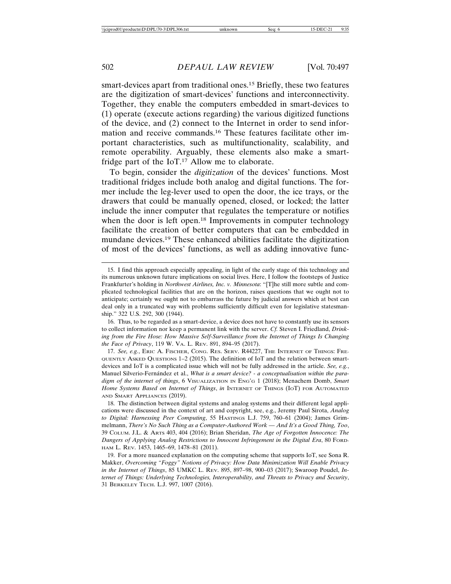smart-devices apart from traditional ones.15 Briefly, these two features are the digitization of smart-devices' functions and interconnectivity. Together, they enable the computers embedded in smart-devices to (1) operate (execute actions regarding) the various digitized functions of the device, and (2) connect to the Internet in order to send information and receive commands.16 These features facilitate other important characteristics, such as multifunctionality, scalability, and remote operability. Arguably, these elements also make a smartfridge part of the IoT.17 Allow me to elaborate.

To begin, consider the *digitization* of the devices' functions. Most traditional fridges include both analog and digital functions. The former include the leg-lever used to open the door, the ice trays, or the drawers that could be manually opened, closed, or locked; the latter include the inner computer that regulates the temperature or notifies when the door is left open.<sup>18</sup> Improvements in computer technology facilitate the creation of better computers that can be embedded in mundane devices.19 These enhanced abilities facilitate the digitization of most of the devices' functions, as well as adding innovative func-

17. *See, e.g.*, ERIC A. FISCHER, CONG. RES. SERV. R44227, THE INTERNET OF THINGS: FRE-QUENTLY ASKED QUESTIONS 1–2 (2015). The definition of IoT and the relation between smartdevices and IoT is a complicated issue which will not be fully addressed in the article. *See, e.g.*, Manuel Silverio-Fernández et al., *What is a smart device? - a conceptualisation within the paradigm of the internet of things*, 6 VISUALIZATION IN ENG'G 1 (2018); Menachem Domb, *Smart Home Systems Based on Internet of Things*, *in* INTERNET OF THINGS (IOT) FOR AUTOMATED AND SMART APPLIANCES (2019).

18. The distinction between digital systems and analog systems and their different legal applications were discussed in the context of art and copyright, see, e.g., Jeremy Paul Sirota, *Analog to Digital: Harnessing Peer Computing*, 55 HASTINGS L.J. 759, 760–61 (2004); James Grimmelmann, *There's No Such Thing as a Computer-Authored Work — And It's a Good Thing, Too*, 39 COLUM. J.L. & ARTS 403, 404 (2016); Brian Sheridan, *The Age of Forgotten Innocence: The Dangers of Applying Analog Restrictions to Innocent Infringement in the Digital Era*, 80 FORD-HAM L. REV. 1453, 1465–69, 1478–81 (2011).

19. For a more nuanced explanation on the computing scheme that supports IoT, see Sona R. Makker, *Overcoming "Foggy" Notions of Privacy: How Data Minimization Will Enable Privacy in the Internet of Things*, 85 UMKC L. REV. 895, 897–98, 900–03 (2017); Swaroop Poudel, *Internet of Things: Underlying Technologies, Interoperability, and Threats to Privacy and Security*, 31 BERKELEY TECH. L.J. 997, 1007 (2016).

<sup>15.</sup> I find this approach especially appealing, in light of the early stage of this technology and its numerous unknown future implications on social lives. Here, I follow the footsteps of Justice Frankfurter's holding in *Northwest Airlines, Inc. v. Minnesota*: "[T]he still more subtle and complicated technological facilities that are on the horizon, raises questions that we ought not to anticipate; certainly we ought not to embarrass the future by judicial answers which at best can deal only in a truncated way with problems sufficiently difficult even for legislative statesmanship." 322 U.S. 292, 300 (1944).

<sup>16.</sup> Thus, to be regarded as a smart-device, a device does not have to constantly use its sensors to collect information nor keep a permanent link with the server. *Cf.* Steven I. Friedland, *Drinking from the Fire Hose: How Massive Self-Surveillance from the Internet of Things Is Changing the Face of Privacy*, 119 W. VA. L. REV. 891, 894–95 (2017).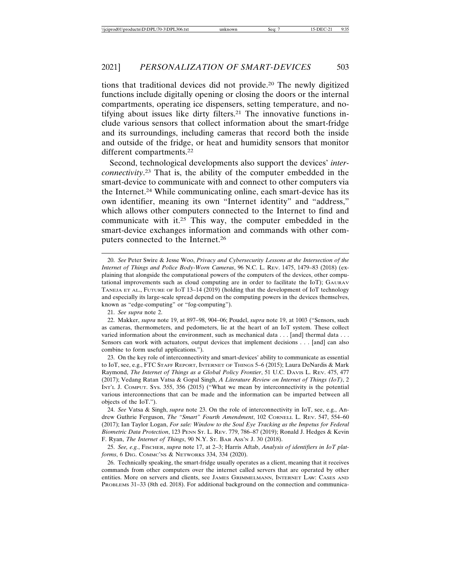#### 2021] *PERSONALIZATION OF SMART-DEVICES* 503

tions that traditional devices did not provide.20 The newly digitized functions include digitally opening or closing the doors or the internal compartments, operating ice dispensers, setting temperature, and notifying about issues like dirty filters.21 The innovative functions include various sensors that collect information about the smart-fridge and its surroundings, including cameras that record both the inside and outside of the fridge, or heat and humidity sensors that monitor different compartments.<sup>22</sup>

Second, technological developments also support the devices' *interconnectivity*. 23 That is, the ability of the computer embedded in the smart-device to communicate with and connect to other computers via the Internet.24 While communicating online, each smart-device has its own identifier, meaning its own "Internet identity" and "address," which allows other computers connected to the Internet to find and communicate with it.25 This way, the computer embedded in the smart-device exchanges information and commands with other computers connected to the Internet.26

24. *See* Vatsa & Singh, *supra* note 23. On the role of interconnectivity in IoT, see, e.g., Andrew Guthrie Ferguson, *The "Smart" Fourth Amendment*, 102 CORNELL L. REV. 547, 554–60 (2017); Ian Taylor Logan, *For sale: Window to the Soul Eye Tracking as the Impetus for Federal Biometric Data Protection*, 123 PENN ST. L. REV. 779, 786–87 (2019); Ronald J. Hedges & Kevin F. Ryan, *The Internet of Things*, 90 N.Y. ST. BAR ASS'N J. 30 (2018).

25. *See, e.g.*, FISCHER, *supra* note 17, at 2–3; Harris Aftab, *Analysis of identifiers in IoT platforms*, 6 DIG. COMMC'NS & NETWORKS 334, 334 (2020).

26. Technically speaking, the smart-fridge usually operates as a client, meaning that it receives commands from other computers over the internet called servers that are operated by other entities. More on servers and clients, see JAMES GRIMMELMANN, INTERNET LAW: CASES AND PROBLEMS 31–33 (8th ed. 2018). For additional background on the connection and communica-

<sup>20.</sup> *See* Peter Swire & Jesse Woo, *Privacy and Cybersecurity Lessons at the Intersection of the Internet of Things and Police Body-Worn Cameras*, 96 N.C. L. REV. 1475, 1479–83 (2018) (explaining that alongside the computational powers of the computers of the devices, other computational improvements such as cloud computing are in order to facilitate the IoT); GAURAV TANEJA ET AL., FUTURE OF IOT 13–14 (2019) (holding that the development of IoT technology and especially its large-scale spread depend on the computing powers in the devices themselves, known as "edge-computing" or "fog-computing").

<sup>21.</sup> *See supra* note 2.

<sup>22.</sup> Makker, *supra* note 19, at 897–98, 904–06; Poudel, *supra* note 19, at 1003 ("Sensors, such as cameras, thermometers, and pedometers, lie at the heart of an IoT system. These collect varied information about the environment, such as mechanical data . . . [and] thermal data . . . Sensors can work with actuators, output devices that implement decisions . . . [and] can also combine to form useful applications.").

<sup>23.</sup> On the key role of interconnectivity and smart-devices' ability to communicate as essential to IoT, see, e.g., FTC STAFF REPORT, INTERNET OF THINGS 5–6 (2015); Laura DeNardis & Mark Raymond, *The Internet of Things as a Global Policy Frontier*, 51 U.C. DAVIS L. REV. 475, 477 (2017); Vedang Ratan Vatsa & Gopal Singh, *A Literature Review on Internet of Things (IoT)*, 2 INT'L J. COMPUT. SYS. 355, 356 (2015) ("What we mean by interconnectivity is the potential various interconnections that can be made and the information can be imparted between all objects of the IoT.").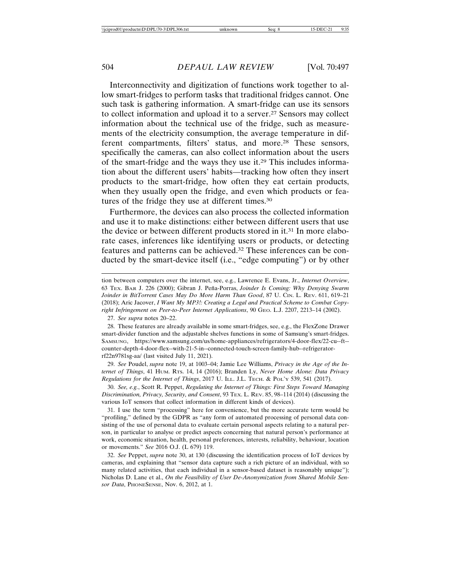Interconnectivity and digitization of functions work together to allow smart-fridges to perform tasks that traditional fridges cannot. One such task is gathering information. A smart-fridge can use its sensors to collect information and upload it to a server.27 Sensors may collect information about the technical use of the fridge, such as measurements of the electricity consumption, the average temperature in different compartments, filters' status, and more.<sup>28</sup> These sensors, specifically the cameras, can also collect information about the users of the smart-fridge and the ways they use it.29 This includes information about the different users' habits—tracking how often they insert products to the smart-fridge, how often they eat certain products, when they usually open the fridge, and even which products or features of the fridge they use at different times.30

Furthermore, the devices can also process the collected information and use it to make distinctions: either between different users that use the device or between different products stored in it.31 In more elaborate cases, inferences like identifying users or products, or detecting features and patterns can be achieved.32 These inferences can be conducted by the smart-device itself (i.e., "edge computing") or by other

tion between computers over the internet, see, e.g*.*, Lawrence E. Evans, Jr., *Internet Overview*, 63 TEX. BAR J. 226 (2000); Gibran J. Peña-Porras, *Joinder Is Coming: Why Denying Swarm Joinder in BitTorrent Cases May Do More Harm Than Good*, 87 U. CIN. L. REV. 611, 619–21 (2018); Aric Jacover, *I Want My MP3!: Creating a Legal and Practical Scheme to Combat Copyright Infringement on Peer-to-Peer Internet Applications*, 90 GEO. L.J. 2207, 2213–14 (2002).

27. *See supra* notes 20–22.

28. These features are already available in some smart-fridges, see, e.g., the FlexZone Drawer smart-divider function and the adjustable shelves functions in some of Samsung's smart-fridges. SAMSUNG, https://www.samsung.com/us/home-appliances/refrigerators/4-door-flex/22-cu--ft- counter-depth-4-door-flex--with-21-5-in--connected-touch-screen-family-hub--refrigeratorrf22n9781sg-aa/ (last visited July 11, 2021).

29. *See* Poudel, *supra* note 19, at 1003–04; Jamie Lee Williams, *Privacy in the Age of the Internet of Things*, 41 HUM. RTS. 14, 14 (2016); Branden Ly, *Never Home Alone: Data Privacy Regulations for the Internet of Things*, 2017 U. ILL. J.L. TECH. & POL'Y 539, 541 (2017).

30. *See, e.g.*, Scott R. Peppet, *Regulating the Internet of Things: First Steps Toward Managing Discrimination, Privacy, Security, and Consent*, 93 TEX. L. REV. 85, 98–114 (2014) (discussing the various IoT sensors that collect information in different kinds of devices).

31. I use the term "processing" here for convenience, but the more accurate term would be "profiling," defined by the GDPR as "any form of automated processing of personal data consisting of the use of personal data to evaluate certain personal aspects relating to a natural person, in particular to analyse or predict aspects concerning that natural person's performance at work, economic situation, health, personal preferences, interests, reliability, behaviour, location or movements." *See* 2016 O.J. (L 679) 119.

32. *See* Peppet, *supra* note 30, at 130 (discussing the identification process of IoT devices by cameras, and explaining that "sensor data capture such a rich picture of an individual, with so many related activities, that each individual in a sensor-based dataset is reasonably unique"); Nicholas D. Lane et al., *On the Feasibility of User De-Anonymization from Shared Mobile Sensor Data*, PHONESENSE, Nov. 6, 2012, at 1.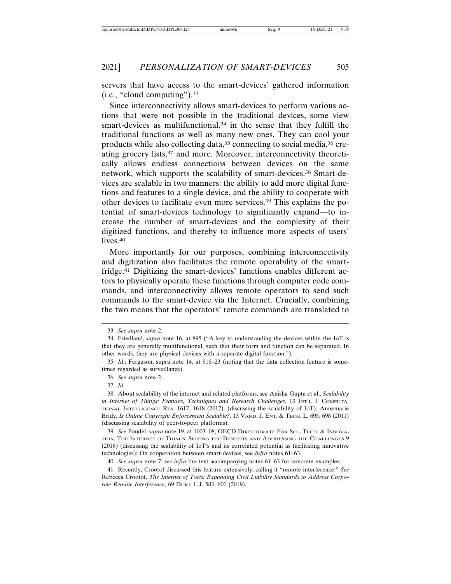servers that have access to the smart-devices' gathered information (i.e., "cloud computing").33

Since interconnectivity allows smart-devices to perform various actions that were not possible in the traditional devices, some view smart-devices as multifunctional, $34$  in the sense that they fulfill the traditional functions as well as many new ones. They can cool your products while also collecting data,<sup>35</sup> connecting to social media,<sup>36</sup> creating grocery lists,37 and more. Moreover, interconnectivity theoretically allows endless connections between devices on the same network, which supports the scalability of smart-devices.38 Smart-devices are scalable in two manners: the ability to add more digital functions and features to a single device, and the ability to cooperate with other devices to facilitate even more services.39 This explains the potential of smart-devices technology to significantly expand—to increase the number of smart-devices and the complexity of their digitized functions, and thereby to influence more aspects of users' lives.40

More importantly for our purposes, combining interconnectivity and digitization also facilitates the remote operability of the smartfridge.41 Digitizing the smart-devices' functions enables different actors to physically operate these functions through computer code commands, and interconnectivity allows remote operators to send such commands to the smart-device via the Internet. Crucially, combining the two means that the operators' remote commands are translated to

<sup>33.</sup> *See supra* note 2.

<sup>34.</sup> Friedland, *supra* note 16, at 895 ("A key to understanding the devices within the IoT is that they are generally multifunctional, such that their form and function can be separated. In other words, they are physical devices with a separate digital function.").

<sup>35.</sup> *Id.*; Ferguson, supra note 14, at 818–23 (noting that the data collection feature is sometimes regarded as surveillance).

<sup>36.</sup> *See supra* note 2.

<sup>37.</sup> *Id*.

<sup>38.</sup> About scalability of the internet and related platforms, see Anisha Gupta et al., *Scalability in Internet of Things: Features, Techniques and Research Challenges*, 13 INT'L J. COMPUTA-TIONAL INTELLIGENCE RES. 1617, 1618 (2017). (discussing the scalability of IoT); Annemarie Bridy, *Is Online Copyright Enforcement Scalable?,* 13 VAND. J. ENT. & TECH. L. 695, 698 (2011) (discussing scalability of peer-to-peer platforms).

<sup>39.</sup> *See* Poudel, *supra* note 19, at 1003–08; OECD DIRECTORATE FOR SCI., TECH. & INNOVA-TION, THE INTERNET OF THINGS: SEIZING THE BENEFITS AND ADDRESSING THE CHALLENGES 9 (2016) (discussing the scalability of IoT's and its correlated potential as facilitating innovative technologies); On cooperation between smart-devices, see *infra* notes 61–63.

<sup>40.</sup> *See supra* note 7; *see infra* the text accompanying notes 61–63 for concrete examples.

<sup>41.</sup> Recently, Crootof discussed this feature extensively, calling it "remote interference." *See* Rebecca Crootof, *The Internet of Torts: Expanding Civil Liability Standards to Address Corporate Remote Interference*, 69 DUKE L.J. 583, 600 (2019).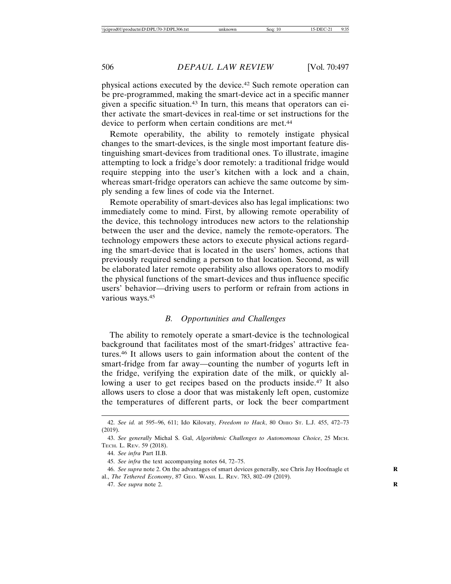physical actions executed by the device.42 Such remote operation can be pre-programmed, making the smart-device act in a specific manner given a specific situation.43 In turn, this means that operators can either activate the smart-devices in real-time or set instructions for the device to perform when certain conditions are met.<sup>44</sup>

Remote operability, the ability to remotely instigate physical changes to the smart-devices, is the single most important feature distinguishing smart-devices from traditional ones. To illustrate, imagine attempting to lock a fridge's door remotely: a traditional fridge would require stepping into the user's kitchen with a lock and a chain, whereas smart-fridge operators can achieve the same outcome by simply sending a few lines of code via the Internet.

Remote operability of smart-devices also has legal implications: two immediately come to mind. First, by allowing remote operability of the device, this technology introduces new actors to the relationship between the user and the device, namely the remote-operators. The technology empowers these actors to execute physical actions regarding the smart-device that is located in the users' homes, actions that previously required sending a person to that location. Second, as will be elaborated later remote operability also allows operators to modify the physical functions of the smart-devices and thus influence specific users' behavior—driving users to perform or refrain from actions in various ways.45

#### *B. Opportunities and Challenges*

The ability to remotely operate a smart-device is the technological background that facilitates most of the smart-fridges' attractive features.46 It allows users to gain information about the content of the smart-fridge from far away—counting the number of yogurts left in the fridge, verifying the expiration date of the milk, or quickly allowing a user to get recipes based on the products inside.<sup>47</sup> It also allows users to close a door that was mistakenly left open, customize the temperatures of different parts, or lock the beer compartment

<sup>42.</sup> *See id.* at 595–96, 611; Ido Kilovaty, *Freedom to Hack*, 80 OHIO ST. L.J. 455, 472–73 (2019).

<sup>43.</sup> *See generally* Michal S. Gal, *Algorithmic Challenges to Autonomous Choice*, 25 MICH. TECH. L. REV. 59 (2018).

<sup>44.</sup> *See infra* Part II.B.

<sup>45.</sup> *See infra* the text accompanying notes 64, 72–75.

<sup>46.</sup> *See supra* note 2. On the advantages of smart devices generally, see Chris Jay Hoofnagle et **R** al., *The Tethered Economy*, 87 GEO. WASH. L. REV. 783, 802–09 (2019).

<sup>47.</sup> *See supra* note 2. **R**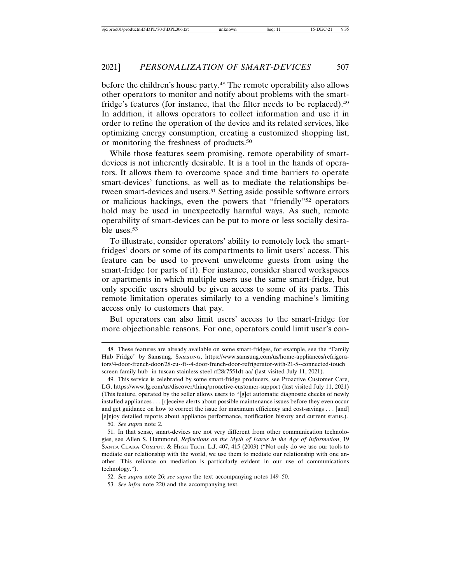before the children's house party.48 The remote operability also allows other operators to monitor and notify about problems with the smartfridge's features (for instance, that the filter needs to be replaced).49 In addition, it allows operators to collect information and use it in order to refine the operation of the device and its related services, like optimizing energy consumption, creating a customized shopping list, or monitoring the freshness of products.50

While those features seem promising, remote operability of smartdevices is not inherently desirable. It is a tool in the hands of operators. It allows them to overcome space and time barriers to operate smart-devices' functions, as well as to mediate the relationships between smart-devices and users.<sup>51</sup> Setting aside possible software errors or malicious hackings, even the powers that "friendly"52 operators hold may be used in unexpectedly harmful ways. As such, remote operability of smart-devices can be put to more or less socially desirable uses.53

To illustrate, consider operators' ability to remotely lock the smartfridges' doors or some of its compartments to limit users' access. This feature can be used to prevent unwelcome guests from using the smart-fridge (or parts of it). For instance, consider shared workspaces or apartments in which multiple users use the same smart-fridge, but only specific users should be given access to some of its parts. This remote limitation operates similarly to a vending machine's limiting access only to customers that pay.

But operators can also limit users' access to the smart-fridge for more objectionable reasons. For one, operators could limit user's con-

50. *See supra* note 2.

<sup>48.</sup> These features are already available on some smart-fridges, for example, see the "Family Hub Fridge" by Samsung. SAMSUNG, https://www.samsung.com/us/home-appliances/refrigerators/4-door-french-door/28-cu--ft--4-door-french-door-refrigerator-with-21-5--connected-touch screen-family-hub--in-tuscan-stainless-steel-rf28r7551dt-aa/ (last visited July 11, 2021).

<sup>49.</sup> This service is celebrated by some smart-fridge producers, see Proactive Customer Care, LG, https://www.lg.com/us/discover/thinq/proactive-customer-support (last visited July 11, 2021) (This feature, operated by the seller allows users to "[g]et automatic diagnostic checks of newly installed appliances . . . [r]eceive alerts about possible maintenance issues before they even occur and get guidance on how to correct the issue for maximum efficiency and cost-savings . . . [and] [e]njoy detailed reports about appliance performance, notification history and current status.).

<sup>51.</sup> In that sense, smart-devices are not very different from other communication technologies, see Allen S. Hammond, *Reflections on the Myth of Icarus in the Age of Information*, 19 SANTA CLARA COMPUT. & HIGH TECH. L.J. 407, 415 (2003) ("Not only do we use our tools to mediate our relationship with the world, we use them to mediate our relationship with one another. This reliance on mediation is particularly evident in our use of communications technology.").

<sup>52.</sup> *See supra* note 26; *see supra* the text accompanying notes 149–50.

<sup>53.</sup> *See infra* note 220 and the accompanying text.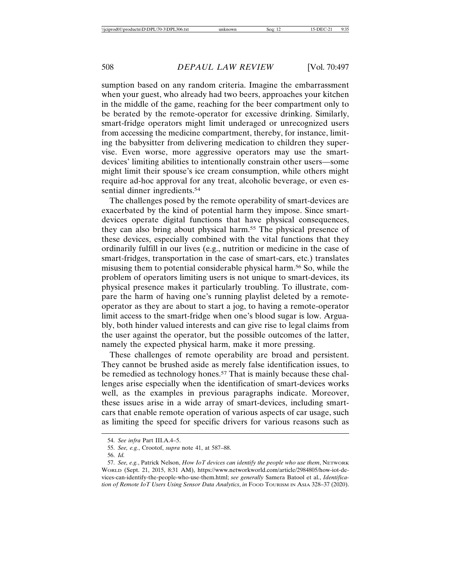sumption based on any random criteria. Imagine the embarrassment when your guest, who already had two beers, approaches your kitchen in the middle of the game, reaching for the beer compartment only to be berated by the remote-operator for excessive drinking. Similarly, smart-fridge operators might limit underaged or unrecognized users from accessing the medicine compartment, thereby, for instance, limiting the babysitter from delivering medication to children they supervise. Even worse, more aggressive operators may use the smartdevices' limiting abilities to intentionally constrain other users—some might limit their spouse's ice cream consumption, while others might require ad-hoc approval for any treat, alcoholic beverage, or even essential dinner ingredients.<sup>54</sup>

The challenges posed by the remote operability of smart-devices are exacerbated by the kind of potential harm they impose. Since smartdevices operate digital functions that have physical consequences, they can also bring about physical harm.55 The physical presence of these devices, especially combined with the vital functions that they ordinarily fulfill in our lives (e.g., nutrition or medicine in the case of smart-fridges, transportation in the case of smart-cars, etc.) translates misusing them to potential considerable physical harm.56 So, while the problem of operators limiting users is not unique to smart-devices, its physical presence makes it particularly troubling. To illustrate, compare the harm of having one's running playlist deleted by a remoteoperator as they are about to start a jog, to having a remote-operator limit access to the smart-fridge when one's blood sugar is low. Arguably, both hinder valued interests and can give rise to legal claims from the user against the operator, but the possible outcomes of the latter, namely the expected physical harm, make it more pressing.

These challenges of remote operability are broad and persistent. They cannot be brushed aside as merely false identification issues, to be remedied as technology hones.<sup>57</sup> That is mainly because these challenges arise especially when the identification of smart-devices works well, as the examples in previous paragraphs indicate. Moreover, these issues arise in a wide array of smart-devices, including smartcars that enable remote operation of various aspects of car usage, such as limiting the speed for specific drivers for various reasons such as

<sup>54.</sup> *See infra* Part III.A.4–5.

<sup>55.</sup> *See, e.g.*, Crootof, *supra* note 41, at 587–88.

<sup>56.</sup> *Id.*

<sup>57.</sup> *See, e.g.*, Patrick Nelson, *How IoT devices can identify the people who use them*, NETWORK WORLD (Sept. 21, 2015, 8:31 AM), https://www.networkworld.com/article/2984805/how-iot-devices-can-identify-the-people-who-use-them.html; *see generally* Samera Batool et al., *Identification of Remote IoT Users Using Sensor Data Analytics*, *in* FOOD TOURISM IN ASIA 328-37 (2020).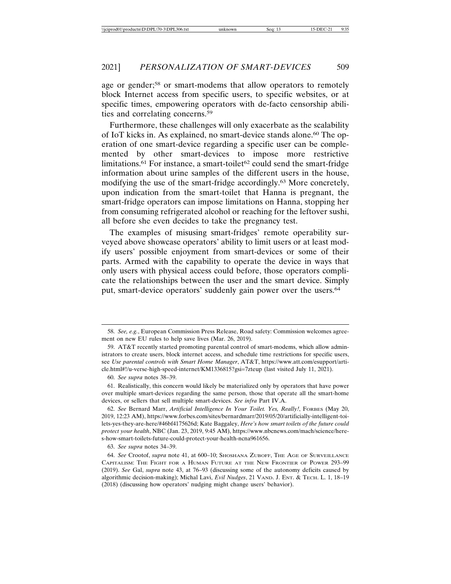age or gender;<sup>58</sup> or smart-modems that allow operators to remotely block Internet access from specific users, to specific websites, or at specific times, empowering operators with de-facto censorship abilities and correlating concerns.59

Furthermore, these challenges will only exacerbate as the scalability of IoT kicks in. As explained, no smart-device stands alone.<sup>60</sup> The operation of one smart-device regarding a specific user can be complemented by other smart-devices to impose more restrictive limitations.<sup>61</sup> For instance, a smart-toilet<sup>62</sup> could send the smart-fridge information about urine samples of the different users in the house, modifying the use of the smart-fridge accordingly.63 More concretely, upon indication from the smart-toilet that Hanna is pregnant, the smart-fridge operators can impose limitations on Hanna, stopping her from consuming refrigerated alcohol or reaching for the leftover sushi, all before she even decides to take the pregnancy test.

The examples of misusing smart-fridges' remote operability surveyed above showcase operators' ability to limit users or at least modify users' possible enjoyment from smart-devices or some of their parts. Armed with the capability to operate the device in ways that only users with physical access could before, those operators complicate the relationships between the user and the smart device. Simply put, smart-device operators' suddenly gain power over the users.<sup>64</sup>

<sup>58.</sup> *See, e.g.*, European Commission Press Release, Road safety: Commission welcomes agreement on new EU rules to help save lives (Mar. 26, 2019).

<sup>59.</sup> AT&T recently started promoting parental control of smart-modems, which allow administrators to create users, block internet access, and schedule time restrictions for specific users, see *Use parental controls with Smart Home Manager*, AT&T, https://www.att.com/esupport/article.html#!/u-verse-high-speed-internet/KM1336815?gsi=7zteup (last visited July 11, 2021).

<sup>60.</sup> *See supra* notes 38–39.

<sup>61.</sup> Realistically, this concern would likely be materialized only by operators that have power over multiple smart-devices regarding the same person, those that operate all the smart-home devices, or sellers that sell multiple smart-devices. *See infra* Part IV.A.

<sup>62.</sup> *See* Bernard Marr, *Artificial Intelligence In Your Toilet. Yes, Really!*, FORBES (May 20, 2019, 12:23 AM), https://www.forbes.com/sites/bernardmarr/2019/05/20/artificially-intelligent-toilets-yes-they-are-here/#46bf4175626d; Kate Baggaley, *Here's how smart toilets of the future could protect your health*, NBC (Jan. 23, 2019, 9:45 AM), https://www.nbcnews.com/mach/science/heres-how-smart-toilets-future-could-protect-your-health-ncna961656.

<sup>63.</sup> *See supra* notes 34–39.

<sup>64.</sup> *See* Crootof, *supra* note 41, at 600–10; SHOSHANA ZUBOFF, THE AGE OF SURVEILLANCE CAPITALISM: THE FIGHT FOR A HUMAN FUTURE AT THE NEW FRONTIER OF POWER 293–99 (2019). *See* Gal, *supra* note 43, at 76–93 (discussing some of the autonomy deficits caused by algorithmic decision-making); Michal Lavi, *Evil Nudges*, 21 VAND. J. ENT. & TECH. L. 1, 18–19 (2018) (discussing how operators' nudging might change users' behavior).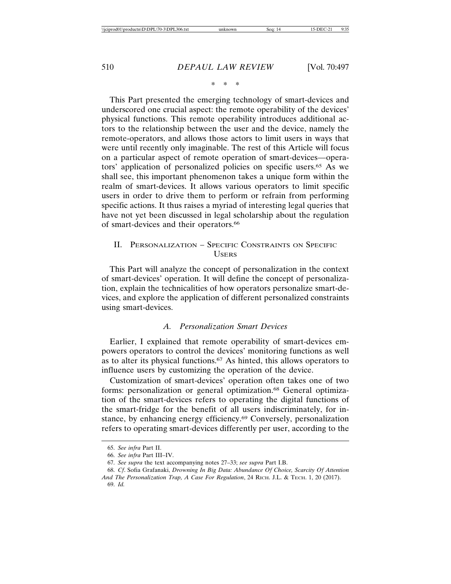\*\*\*

This Part presented the emerging technology of smart-devices and underscored one crucial aspect: the remote operability of the devices' physical functions. This remote operability introduces additional actors to the relationship between the user and the device, namely the remote-operators, and allows those actors to limit users in ways that were until recently only imaginable. The rest of this Article will focus on a particular aspect of remote operation of smart-devices—operators' application of personalized policies on specific users.65 As we shall see, this important phenomenon takes a unique form within the realm of smart-devices. It allows various operators to limit specific users in order to drive them to perform or refrain from performing specific actions. It thus raises a myriad of interesting legal queries that have not yet been discussed in legal scholarship about the regulation of smart-devices and their operators.66

# II. PERSONALIZATION – SPECIFIC CONSTRAINTS ON SPECIFIC **USERS**

This Part will analyze the concept of personalization in the context of smart-devices' operation. It will define the concept of personalization, explain the technicalities of how operators personalize smart-devices, and explore the application of different personalized constraints using smart-devices.

#### *A. Personalization Smart Devices*

Earlier, I explained that remote operability of smart-devices empowers operators to control the devices' monitoring functions as well as to alter its physical functions.67 As hinted, this allows operators to influence users by customizing the operation of the device.

Customization of smart-devices' operation often takes one of two forms: personalization or general optimization.68 General optimization of the smart-devices refers to operating the digital functions of the smart-fridge for the benefit of all users indiscriminately, for instance, by enhancing energy efficiency.69 Conversely, personalization refers to operating smart-devices differently per user, according to the

<sup>65.</sup> *See infra* Part II.

<sup>66.</sup> *See infra* Part III–IV.

<sup>67.</sup> *See supra* the text accompanying notes 27–33; *see supra* Part I.B.

<sup>68.</sup> *Cf*. Sofia Grafanaki, *Drowning In Big Data: Abundance Of Choice, Scarcity Of Attention And The Personalization Trap, A Case For Regulation*, 24 RICH. J.L. & TECH. 1, 20 (2017). 69. *Id.*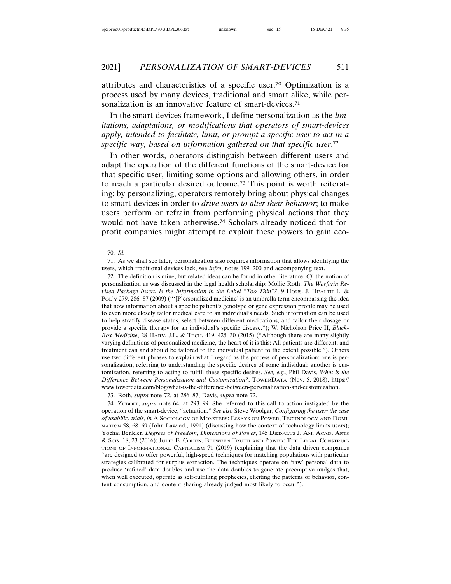attributes and characteristics of a specific user.70 Optimization is a process used by many devices, traditional and smart alike, while personalization is an innovative feature of smart-devices.<sup>71</sup>

In the smart-devices framework, I define personalization as the *limitations, adaptations, or modifications that operators of smart-devices apply, intended to facilitate, limit, or prompt a specific user to act in a specific way, based on information gathered on that specific user*. 72

In other words, operators distinguish between different users and adapt the operation of the different functions of the smart-device for that specific user, limiting some options and allowing others, in order to reach a particular desired outcome.73 This point is worth reiterating: by personalizing, operators remotely bring about physical changes to smart-devices in order to *drive users to alter their behavior*; to make users perform or refrain from performing physical actions that they would not have taken otherwise.74 Scholars already noticed that forprofit companies might attempt to exploit these powers to gain eco-

73. Roth, *supra* note 72, at 286–87; Davis, *supra* note 72.

<sup>70.</sup> *Id.*

<sup>71.</sup> As we shall see later, personalization also requires information that allows identifying the users, which traditional devices lack, see *infra*, notes 199–200 and accompanying text.

<sup>72.</sup> The definition is mine, but related ideas can be found in other literature. *Cf.* the notion of personalization as was discussed in the legal health scholarship: Mollie Roth, *The Warfarin Revised Package Insert: Is the Information in the Label "Too Thin"?*, 9 HOUS. J. HEALTH L. & POL'Y 279, 286–87 (2009) ("'[P]ersonalized medicine' is an umbrella term encompassing the idea that now information about a specific patient's genotype or gene expression profile may be used to even more closely tailor medical care to an individual's needs. Such information can be used to help stratify disease status, select between different medications, and tailor their dosage or provide a specific therapy for an individual's specific disease."); W. Nicholson Price II, *Black-Box Medicine*, 28 HARV. J.L. & TECH. 419, 425-30 (2015) ("Although there are many slightly varying definitions of personalized medicine, the heart of it is this: All patients are different, and treatment can and should be tailored to the individual patient to the extent possible."). Others use two different phrases to explain what I regard as the process of personalization: one is personalization, referring to understanding the specific desires of some individual; another is customization, referring to acting to fulfill these specific desires. *See, e.g.*, Phil Davis, *What is the Difference Between Personalization and Customization?*, TOWERDATA (Nov. 5, 2018), https:// www.towerdata.com/blog/what-is-the-difference-between-personalization-and-customization.

<sup>74.</sup> ZUBOFF, *supra* note 64, at 293–99. She referred to this call to action instigated by the operation of the smart-device, "actuation." *See also* Steve Woolgar, *Configuring the user: the case of usability trials*, *in* A SOCIOLOGY OF MONSTERS: ESSAYS ON POWER, TECHNOLOGY AND DOMI-NATION 58, 68–69 (John Law ed., 1991) (discussing how the context of technology limits users); Yochai Benkler, *Degrees of Freedom, Dimensions of Power*, 145 DæDALUS J. AM. ACAD. ARTS & SCIS. 18, 23 (2016); JULIE E. COHEN, BETWEEN TRUTH AND POWER: THE LEGAL CONSTRUC-TIONS OF INFORMATIONAL CAPITALISM 71 (2019) (explaining that the data driven companies "are designed to offer powerful, high-speed techniques for matching populations with particular strategies calibrated for surplus extraction. The techniques operate on 'raw' personal data to produce 'refined' data doubles and use the data doubles to generate preemptive nudges that, when well executed, operate as self-fulfilling prophecies, eliciting the patterns of behavior, content consumption, and content sharing already judged most likely to occur").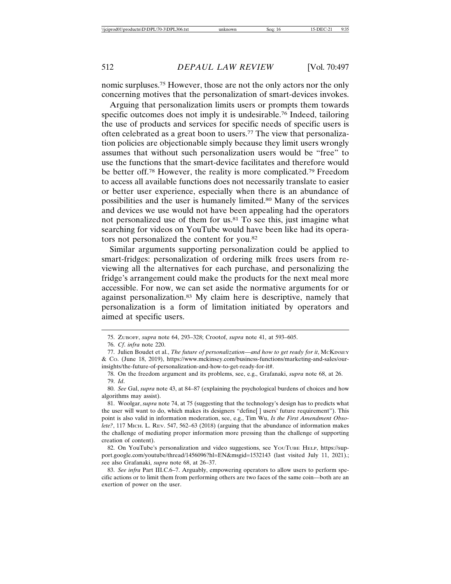nomic surpluses.75 However, those are not the only actors nor the only concerning motives that the personalization of smart-devices invokes.

Arguing that personalization limits users or prompts them towards specific outcomes does not imply it is undesirable.<sup>76</sup> Indeed, tailoring the use of products and services for specific needs of specific users is often celebrated as a great boon to users.77 The view that personalization policies are objectionable simply because they limit users wrongly assumes that without such personalization users would be "free" to use the functions that the smart-device facilitates and therefore would be better off.78 However, the reality is more complicated.79 Freedom to access all available functions does not necessarily translate to easier or better user experience, especially when there is an abundance of possibilities and the user is humanely limited.80 Many of the services and devices we use would not have been appealing had the operators not personalized use of them for us.81 To see this, just imagine what searching for videos on YouTube would have been like had its operators not personalized the content for you.82

Similar arguments supporting personalization could be applied to smart-fridges: personalization of ordering milk frees users from reviewing all the alternatives for each purchase, and personalizing the fridge's arrangement could make the products for the next meal more accessible. For now, we can set aside the normative arguments for or against personalization.83 My claim here is descriptive, namely that personalization is a form of limitation initiated by operators and aimed at specific users.

<sup>75.</sup> ZUBOFF, *supra* note 64, 293–328; Crootof, *supra* note 41, at 593–605.

<sup>76.</sup> *Cf*. *infra* note 220.

<sup>77.</sup> Julien Boudet et al., *The future of personalization—and how to get ready for it*, McKINSEY & CO. (June 18, 2019), https://www.mckinsey.com/business-functions/marketing-and-sales/ourinsights/the-future-of-personalization-and-how-to-get-ready-for-it#.

<sup>78.</sup> On the freedom argument and its problems, see, e.g., Grafanaki, *supra* note 68, at 26. 79. *Id*.

<sup>80.</sup> *See* Gal, *supra* note 43, at 84–87 (explaining the psychological burdens of choices and how algorithms may assist).

<sup>81.</sup> Woolgar, *supra* note 74, at 75 (suggesting that the technology's design has to predicts what the user will want to do, which makes its designers "define[ ] users' future requirement"). This point is also valid in information moderation, see, e.g., Tim Wu, *Is the First Amendment Obsolete?*, 117 MICH. L. REV. 547, 562–63 (2018) (arguing that the abundance of information makes the challenge of mediating proper information more pressing than the challenge of supporting creation of content).

<sup>82.</sup> On YouTube's personalization and video suggestions, see YouTube HELP, https://support.google.com/youtube/thread/1456096?hl=EN&msgid=1532143 (last visited July 11, 2021).; *s*ee also Grafanaki, *supra* note 68, at 26–37.

<sup>83.</sup> *See infra* Part III.C.6–7. Arguably, empowering operators to allow users to perform specific actions or to limit them from performing others are two faces of the same coin—both are an exertion of power on the user.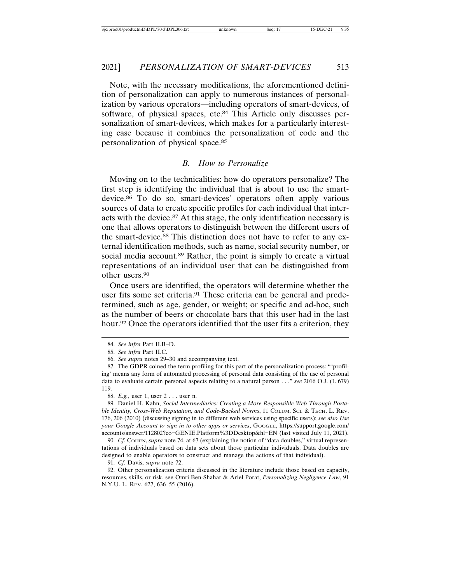#### 2021] *PERSONALIZATION OF SMART-DEVICES* 513

Note, with the necessary modifications, the aforementioned definition of personalization can apply to numerous instances of personalization by various operators—including operators of smart-devices, of software, of physical spaces, etc.84 This Article only discusses personalization of smart-devices, which makes for a particularly interesting case because it combines the personalization of code and the personalization of physical space.85

# *B. How to Personalize*

Moving on to the technicalities: how do operators personalize? The first step is identifying the individual that is about to use the smartdevice.86 To do so, smart-devices' operators often apply various sources of data to create specific profiles for each individual that interacts with the device.87 At this stage, the only identification necessary is one that allows operators to distinguish between the different users of the smart-device.88 This distinction does not have to refer to any external identification methods, such as name, social security number, or social media account.<sup>89</sup> Rather, the point is simply to create a virtual representations of an individual user that can be distinguished from other users.90

Once users are identified, the operators will determine whether the user fits some set criteria.<sup>91</sup> These criteria can be general and predetermined, such as age, gender, or weight; or specific and ad-hoc, such as the number of beers or chocolate bars that this user had in the last hour.<sup>92</sup> Once the operators identified that the user fits a criterion, they

88. *E.g.*, user 1, user 2 . . . user n.

89. Daniel H. Kahn, *Social Intermediaries: Creating a More Responsible Web Through Portable Identity, Cross-Web Reputation, and Code-Backed Norms*, 11 COLUM. SCI. & TECH. L. REV. 176, 206 (2010) (discussing signing in to different web services using specific users); *see also Use your Google Account to sign in to other apps or services*, GOOGLE, https://support.google.com/ accounts/answer/112802?co=GENIE.Platform%3DDesktop&hl=EN (last visited July 11, 2021).

90. *Cf.* Сонем, *supra* note 74, at 67 (explaining the notion of "data doubles," virtual representations of individuals based on data sets about those particular individuals. Data doubles are designed to enable operators to construct and manage the actions of that individual).

91. *Cf.* Davis, *supra* note 72.

92. Other personalization criteria discussed in the literature include those based on capacity, resources, skills, or risk, see Omri Ben-Shahar & Ariel Porat, *Personalizing Negligence Law*, 91 N.Y.U. L. REV. 627, 636–55 (2016).

<sup>84.</sup> *See infra* Part II.B–D.

<sup>85.</sup> *See infra* Part II.C.

<sup>86.</sup> *See supra* notes 29–30 and accompanying text.

<sup>87.</sup> The GDPR coined the term profiling for this part of the personalization process: "'profiling' means any form of automated processing of personal data consisting of the use of personal data to evaluate certain personal aspects relating to a natural person . . ." *see* 2016 O.J. (L 679) 119.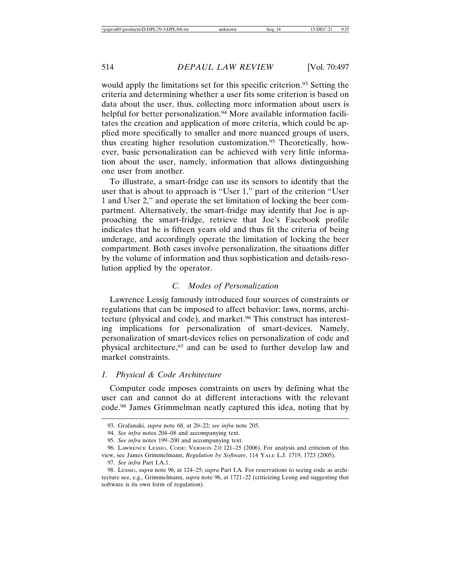would apply the limitations set for this specific criterion.<sup>93</sup> Setting the criteria and determining whether a user fits some criterion is based on data about the user, thus, collecting more information about users is helpful for better personalization.<sup>94</sup> More available information facilitates the creation and application of more criteria, which could be applied more specifically to smaller and more nuanced groups of users, thus creating higher resolution customization.95 Theoretically, however, basic personalization can be achieved with very little information about the user, namely, information that allows distinguishing one user from another.

To illustrate, a smart-fridge can use its sensors to identify that the user that is about to approach is "User 1," part of the criterion "User 1 and User 2," and operate the set limitation of locking the beer compartment. Alternatively, the smart-fridge may identify that Joe is approaching the smart-fridge, retrieve that Joe's Facebook profile indicates that he is fifteen years old and thus fit the criteria of being underage, and accordingly operate the limitation of locking the beer compartment. Both cases involve personalization, the situations differ by the volume of information and thus sophistication and details-resolution applied by the operator.

#### *C. Modes of Personalization*

Lawrence Lessig famously introduced four sources of constraints or regulations that can be imposed to affect behavior: laws, norms, architecture (physical and code), and market.96 This construct has interesting implications for personalization of smart-devices. Namely, personalization of smart-devices relies on personalization of code and physical architecture,<sup>97</sup> and can be used to further develop law and market constraints.

#### *1. Physical & Code Architecture*

Computer code imposes constraints on users by defining what the user can and cannot do at different interactions with the relevant code.98 James Grimmelman neatly captured this idea, noting that by

<sup>93.</sup> Grafanaki, *supra* note 68, at 20–22; *see infra* note 205.

<sup>94.</sup> *See infra* notes 204–08 and accompanying text.

<sup>95.</sup> *See infra* notes 199–200 and accompanying text.

<sup>96.</sup> LAWRENCE LESSIG, CODE: VERSION 2.0 121–25 (2006). For analysis and criticism of this view, see James Grimmelmann, *Regulation by Software*, 114 YALE L.J. 1719, 1723 (2005).

<sup>97.</sup> *See infra* Part I.A.1.

<sup>98.</sup> LESSIG, *supra* note 96, at 124–25; *supra* Part I.A. For reservations to seeing code as architecture see, e.g., Grimmelmann, *supra* note 96, at 1721–22 (criticizing Lessig and suggesting that software is its own form of regulation).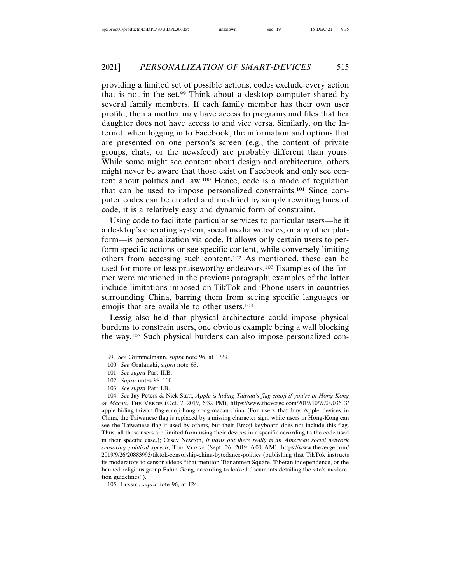providing a limited set of possible actions, codes exclude every action that is not in the set.99 Think about a desktop computer shared by several family members. If each family member has their own user profile, then a mother may have access to programs and files that her daughter does not have access to and vice versa. Similarly, on the Internet, when logging in to Facebook, the information and options that are presented on one person's screen (e.g., the content of private groups, chats, or the newsfeed) are probably different than yours. While some might see content about design and architecture, others might never be aware that those exist on Facebook and only see content about politics and law.100 Hence, code is a mode of regulation that can be used to impose personalized constraints.101 Since computer codes can be created and modified by simply rewriting lines of code, it is a relatively easy and dynamic form of constraint.

Using code to facilitate particular services to particular users—be it a desktop's operating system, social media websites, or any other platform—is personalization via code. It allows only certain users to perform specific actions or see specific content, while conversely limiting others from accessing such content.102 As mentioned, these can be used for more or less praiseworthy endeavors.<sup>103</sup> Examples of the former were mentioned in the previous paragraph; examples of the latter include limitations imposed on TikTok and iPhone users in countries surrounding China, barring them from seeing specific languages or emojis that are available to other users.104

Lessig also held that physical architecture could impose physical burdens to constrain users, one obvious example being a wall blocking the way.105 Such physical burdens can also impose personalized con-

105. LESSIG, *supra* note 96, at 124.

<sup>99.</sup> *See* Grimmelmann, *supra* note 96, at 1729.

<sup>100.</sup> *See* Grafanaki, *supra* note 68.

<sup>101.</sup> *See supra* Part II.B.

<sup>102.</sup> *Supra* notes 98–100.

<sup>103.</sup> *See supra* Part I.B.

<sup>104.</sup> *See* Jay Peters & Nick Statt, *Apple is hiding Taiwan's flag emoji if you're in Hong Kong or Macau*, THE VERGE (Oct. 7, 2019, 6:32 PM), https://www.theverge.com/2019/10/7/20903613/ apple-hiding-taiwan-flag-emoji-hong-kong-macau-china (For users that buy Apple devices in China, the Taiwanese flag is replaced by a missing character sign, while users in Hong-Kong can see the Taiwanese flag if used by others, but their Emoji keyboard does not include this flag. Thus, all these users are limited from using their devices in a specific according to the code used in their specific case.); Casey Newton, *It turns out there really is an American social network censoring political speech*, THE VERGE (Sept. 26, 2019, 6:00 AM), https://www.theverge.com/ 2019/9/26/20883993/tiktok-censorship-china-bytedance-politics (publishing that TikTok instructs its moderators to censor videos "that mention Tiananmen Square, Tibetan independence, or the banned religious group Falun Gong, according to leaked documents detailing the site's moderation guidelines").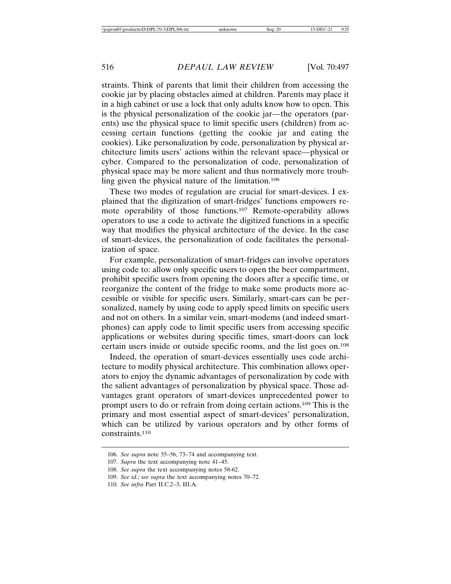straints. Think of parents that limit their children from accessing the cookie jar by placing obstacles aimed at children. Parents may place it in a high cabinet or use a lock that only adults know how to open. This is the physical personalization of the cookie jar—the operators (parents) use the physical space to limit specific users (children) from accessing certain functions (getting the cookie jar and eating the cookies). Like personalization by code, personalization by physical architecture limits users' actions within the relevant space—physical or cyber. Compared to the personalization of code, personalization of physical space may be more salient and thus normatively more troubling given the physical nature of the limitation.106

These two modes of regulation are crucial for smart-devices. I explained that the digitization of smart-fridges' functions empowers remote operability of those functions.107 Remote-operability allows operators to use a code to activate the digitized functions in a specific way that modifies the physical architecture of the device. In the case of smart-devices, the personalization of code facilitates the personalization of space.

For example, personalization of smart-fridges can involve operators using code to: allow only specific users to open the beer compartment, prohibit specific users from opening the doors after a specific time, or reorganize the content of the fridge to make some products more accessible or visible for specific users. Similarly, smart-cars can be personalized, namely by using code to apply speed limits on specific users and not on others. In a similar vein, smart-modems (and indeed smartphones) can apply code to limit specific users from accessing specific applications or websites during specific times, smart-doors can lock certain users inside or outside specific rooms, and the list goes on.108

Indeed, the operation of smart-devices essentially uses code architecture to modify physical architecture. This combination allows operators to enjoy the dynamic advantages of personalization by code with the salient advantages of personalization by physical space. Those advantages grant operators of smart-devices unprecedented power to prompt users to do or refrain from doing certain actions.109 This is the primary and most essential aspect of smart-devices' personalization, which can be utilized by various operators and by other forms of constraints.110

<sup>106.</sup> *See supra* note 55–56, 73–74 and accompanying text.

<sup>107.</sup> *Supra* the text accompanying note 41–45.

<sup>108.</sup> *See supra* the text accompanying notes 58-62.

<sup>109.</sup> *See id.*; *see supra* the text accompanying notes 70–72.

<sup>110.</sup> *See infra* Part II.C.2–3, III.A.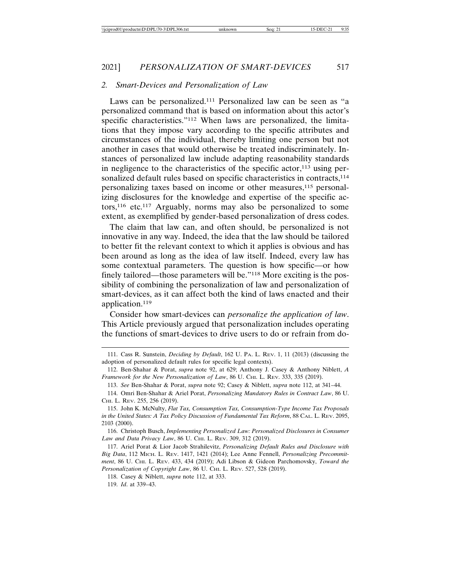#### *2. Smart-Devices and Personalization of Law*

Laws can be personalized.111 Personalized law can be seen as "a personalized command that is based on information about this actor's specific characteristics."112 When laws are personalized, the limitations that they impose vary according to the specific attributes and circumstances of the individual, thereby limiting one person but not another in cases that would otherwise be treated indiscriminately. Instances of personalized law include adapting reasonability standards in negligence to the characteristics of the specific actor, $113$  using personalized default rules based on specific characteristics in contracts,<sup>114</sup> personalizing taxes based on income or other measures,115 personalizing disclosures for the knowledge and expertise of the specific actors,116 etc.117 Arguably, norms may also be personalized to some extent, as exemplified by gender-based personalization of dress codes.

The claim that law can, and often should, be personalized is not innovative in any way. Indeed, the idea that the law should be tailored to better fit the relevant context to which it applies is obvious and has been around as long as the idea of law itself. Indeed, every law has some contextual parameters. The question is how specific—or how finely tailored—those parameters will be."118 More exciting is the possibility of combining the personalization of law and personalization of smart-devices, as it can affect both the kind of laws enacted and their application.119

Consider how smart-devices can *personalize the application of law*. This Article previously argued that personalization includes operating the functions of smart-devices to drive users to do or refrain from do-

116. Christoph Busch, *Implementing Personalized Law: Personalized Disclosures in Consumer Law and Data Privacy Law*, 86 U. CHI. L. REV. 309, 312 (2019).

117. Ariel Porat & Lior Jacob Strahilevitz, *Personalizing Default Rules and Disclosure with Big Data*, 112 MICH. L. REV. 1417, 1421 (2014); Lee Anne Fennell, *Personalizing Precommitment*, 86 U. CHI. L. REV. 433, 434 (2019); Adi Libson & Gideon Parchomovsky, *Toward the Personalization of Copyright Law*, 86 U. CHI. L. REV. 527, 528 (2019).

118. Casey & Niblett, *supra* note 112, at 333.

119. *Id*. at 339–43.

<sup>111.</sup> Cass R. Sunstein, *Deciding by Default*, 162 U. PA. L. REV. 1, 11 (2013) (discussing the adoption of personalized default rules for specific legal contexts).

<sup>112.</sup> Ben-Shahar & Porat, *supra* note 92, at 629; Anthony J. Casey & Anthony Niblett, *A Framework for the New Personalization of Law*, 86 U. CHI. L. REV. 333, 335 (2019).

<sup>113.</sup> *See* Ben-Shahar & Porat, *supra* note 92; Casey & Niblett, *supra* note 112, at 341–44.

<sup>114.</sup> Omri Ben-Shahar & Ariel Porat, *Personalizing Mandatory Rules in Contract Law*, 86 U. CHI. L. REV. 255, 256 (2019).

<sup>115.</sup> John K. McNulty, *Flat Tax, Consumption Tax, Consumption-Type Income Tax Proposals in the United States: A Tax Policy Discussion of Fundamental Tax Reform*, 88 CAL. L. REV. 2095, 2103 (2000).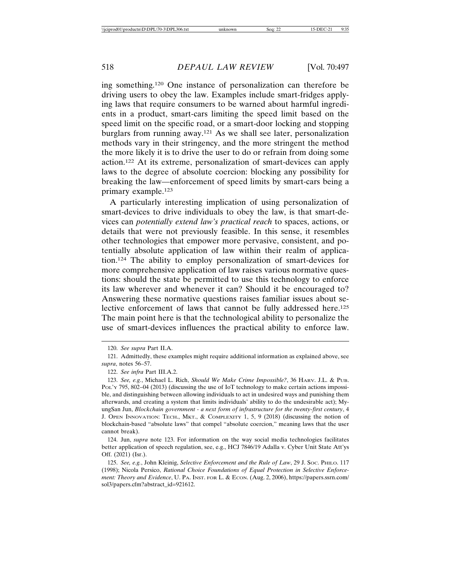ing something.120 One instance of personalization can therefore be driving users to obey the law. Examples include smart-fridges applying laws that require consumers to be warned about harmful ingredients in a product, smart-cars limiting the speed limit based on the speed limit on the specific road, or a smart-door locking and stopping burglars from running away.121 As we shall see later, personalization methods vary in their stringency, and the more stringent the method the more likely it is to drive the user to do or refrain from doing some action.122 At its extreme, personalization of smart-devices can apply laws to the degree of absolute coercion: blocking any possibility for breaking the law—enforcement of speed limits by smart-cars being a primary example.123

A particularly interesting implication of using personalization of smart-devices to drive individuals to obey the law, is that smart-devices can *potentially extend law's practical reach* to spaces, actions, or details that were not previously feasible. In this sense, it resembles other technologies that empower more pervasive, consistent, and potentially absolute application of law within their realm of application.124 The ability to employ personalization of smart-devices for more comprehensive application of law raises various normative questions: should the state be permitted to use this technology to enforce its law wherever and whenever it can? Should it be encouraged to? Answering these normative questions raises familiar issues about selective enforcement of laws that cannot be fully addressed here.<sup>125</sup> The main point here is that the technological ability to personalize the use of smart-devices influences the practical ability to enforce law.

122. *See infra* Part III.A.2.

124. Jun, *supra* note 123. For information on the way social media technologies facilitates better application of speech regulation, see, e.g., HCJ 7846/19 Adalla v. Cyber Unit State Att'ys Off. (2021) (Isr.).

125. *See, e.g.*, John Kleinig, *Selective Enforcement and the Rule of Law*, 29 J. SOC. PHILO. 117 (1998); Nicola Persico, *Rational Choice Foundations of Equal Protection in Selective Enforcement: Theory and Evidence*, U. PA. INST. FOR L. & ECON. (Aug. 2, 2006), https://papers.ssrn.com/ sol3/papers.cfm?abstract\_id=921612.

<sup>120.</sup> *See supra* Part II.A.

<sup>121.</sup> Admittedly, these examples might require additional information as explained above, see *supra*, notes 56–57.

<sup>123.</sup> *See, e.g.*, Michael L. Rich, *Should We Make Crime Impossible?*, 36 HARV. J.L. & PUB. POL'Y 795, 802–04 (2013) (discussing the use of IoT technology to make certain actions impossible, and distinguishing between allowing individuals to act in undesired ways and punishing them afterwards, and creating a system that limits individuals' ability to do the undesirable act); MyungSan Jun, *Blockchain government - a next form of infrastructure for the twenty-first century*, 4 J. OPEN INNOVATION: TECH., MKT., & COMPLEXITY 1, 5, 9 (2018) (discussing the notion of blockchain-based "absolute laws" that compel "absolute coercion," meaning laws that the user cannot break).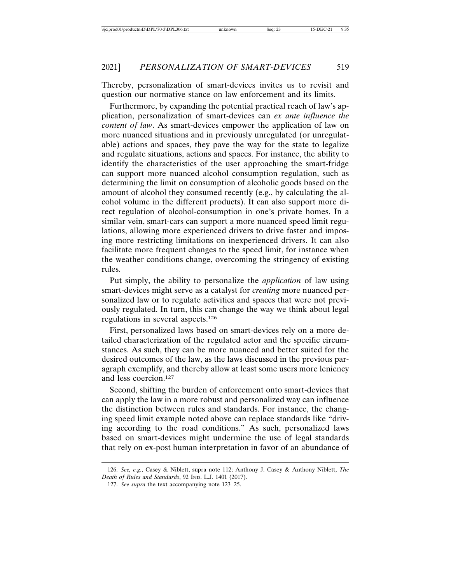Thereby, personalization of smart-devices invites us to revisit and question our normative stance on law enforcement and its limits.

Furthermore, by expanding the potential practical reach of law's application, personalization of smart-devices can *ex ante influence the content of law*. As smart-devices empower the application of law on more nuanced situations and in previously unregulated (or unregulatable) actions and spaces, they pave the way for the state to legalize and regulate situations, actions and spaces. For instance, the ability to identify the characteristics of the user approaching the smart-fridge can support more nuanced alcohol consumption regulation, such as determining the limit on consumption of alcoholic goods based on the amount of alcohol they consumed recently (e.g., by calculating the alcohol volume in the different products). It can also support more direct regulation of alcohol-consumption in one's private homes. In a similar vein, smart-cars can support a more nuanced speed limit regulations, allowing more experienced drivers to drive faster and imposing more restricting limitations on inexperienced drivers. It can also facilitate more frequent changes to the speed limit, for instance when the weather conditions change, overcoming the stringency of existing rules.

Put simply, the ability to personalize the *application* of law using smart-devices might serve as a catalyst for *creating* more nuanced personalized law or to regulate activities and spaces that were not previously regulated. In turn, this can change the way we think about legal regulations in several aspects.126

First, personalized laws based on smart-devices rely on a more detailed characterization of the regulated actor and the specific circumstances. As such, they can be more nuanced and better suited for the desired outcomes of the law, as the laws discussed in the previous paragraph exemplify, and thereby allow at least some users more leniency and less coercion.127

Second, shifting the burden of enforcement onto smart-devices that can apply the law in a more robust and personalized way can influence the distinction between rules and standards. For instance, the changing speed limit example noted above can replace standards like "driving according to the road conditions." As such, personalized laws based on smart-devices might undermine the use of legal standards that rely on ex-post human interpretation in favor of an abundance of

<sup>126.</sup> *See, e.g.*, Casey & Niblett, supra note 112; Anthony J. Casey & Anthony Niblett, *The Death of Rules and Standards*, 92 IND. L.J. 1401 (2017).

<sup>127.</sup> *See supra* the text accompanying note 123–25.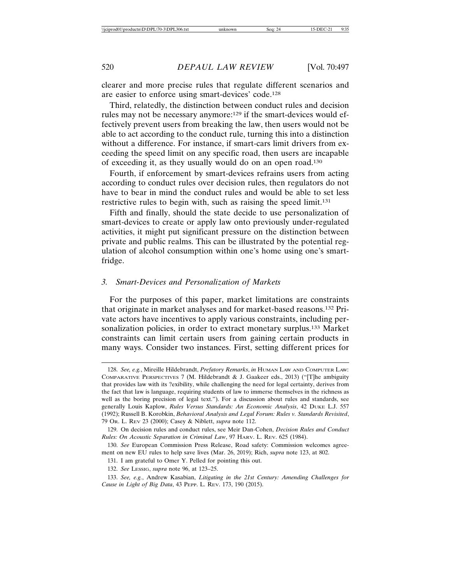clearer and more precise rules that regulate different scenarios and are easier to enforce using smart-devices' code.128

Third, relatedly, the distinction between conduct rules and decision rules may not be necessary anymore:129 if the smart-devices would effectively prevent users from breaking the law, then users would not be able to act according to the conduct rule, turning this into a distinction without a difference. For instance, if smart-cars limit drivers from exceeding the speed limit on any specific road, then users are incapable of exceeding it, as they usually would do on an open road.130

Fourth, if enforcement by smart-devices refrains users from acting according to conduct rules over decision rules, then regulators do not have to bear in mind the conduct rules and would be able to set less restrictive rules to begin with, such as raising the speed limit.<sup>131</sup>

Fifth and finally, should the state decide to use personalization of smart-devices to create or apply law onto previously under-regulated activities, it might put significant pressure on the distinction between private and public realms. This can be illustrated by the potential regulation of alcohol consumption within one's home using one's smartfridge.

#### *3. Smart-Devices and Personalization of Markets*

For the purposes of this paper, market limitations are constraints that originate in market analyses and for market-based reasons.132 Private actors have incentives to apply various constraints, including personalization policies, in order to extract monetary surplus.133 Market constraints can limit certain users from gaining certain products in many ways. Consider two instances. First, setting different prices for

<sup>128.</sup> *See, e.g.*, Mireille Hildebrandt, *Prefatory Remarks*, *in* HUMAN LAW AND COMPUTER LAW: COMPARATIVE PERSPECTIVES 7 (M. Hildebrandt & J. Gaakeer eds., 2013) ("[T]he ambiguity that provides law with its ?exibility, while challenging the need for legal certainty, derives from the fact that law is language, requiring students of law to immerse themselves in the richness as well as the boring precision of legal text."). For a discussion about rules and standards, see generally Louis Kaplow, *Rules Versus Standards: An Economic Analysis*, 42 DUKE L.J. 557 (1992); Russell B. Korobkin, *Behavioral Analysis and Legal Forum: Rules v. Standards Revisited*, 79 OR. L. REV 23 (2000); Casey & Niblett, *supra* note 112.

<sup>129.</sup> On decision rules and conduct rules, see Meir Dan-Cohen, *Decision Rules and Conduct Rules: On Acoustic Separation in Criminal Law*, 97 HARV. L. REV. 625 (1984).

<sup>130.</sup> *See* European Commission Press Release, Road safety: Commission welcomes agreement on new EU rules to help save lives (Mar. 26, 2019); Rich, *supra* note 123, at 802.

<sup>131.</sup> I am grateful to Omer Y. Pelled for pointing this out.

<sup>132.</sup> *See* LESSIG, *supra* note 96, at 123–25.

<sup>133.</sup> *See, e.g.*, Andrew Kasabian, *Litigating in the 21st Century: Amending Challenges for Cause in Light of Big Data*, 43 PEPP. L. REV. 173, 190 (2015).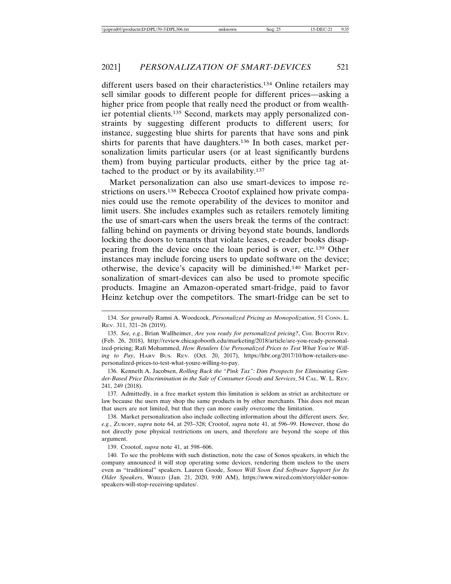different users based on their characteristics.134 Online retailers may sell similar goods to different people for different prices—asking a higher price from people that really need the product or from wealthier potential clients.135 Second, markets may apply personalized constraints by suggesting different products to different users; for instance, suggesting blue shirts for parents that have sons and pink shirts for parents that have daughters.136 In both cases, market personalization limits particular users (or at least significantly burdens them) from buying particular products, either by the price tag attached to the product or by its availability.137

Market personalization can also use smart-devices to impose restrictions on users.<sup>138</sup> Rebecca Crootof explained how private companies could use the remote operability of the devices to monitor and limit users. She includes examples such as retailers remotely limiting the use of smart-cars when the users break the terms of the contract: falling behind on payments or driving beyond state bounds, landlords locking the doors to tenants that violate leases, e-reader books disappearing from the device once the loan period is over, etc.139 Other instances may include forcing users to update software on the device; otherwise, the device's capacity will be diminished.140 Market personalization of smart-devices can also be used to promote specific products. Imagine an Amazon-operated smart-fridge, paid to favor Heinz ketchup over the competitors. The smart-fridge can be set to

136. Kenneth A. Jacobsen, *Rolling Back the "Pink Tax": Dim Prospects for Eliminating Gender-Based Price Discrimination in the Sale of Consumer Goods and Services*, 54 CAL. W. L. REV. 241, 249 (2018).

137. Admittedly, in a free market system this limitation is seldom as strict as architecture or law because the users may shop the same products in by other merchants. This does not mean that users are not limited, but that they can more easily overcome the limitation.

138. Market personalization also include collecting information about the different users. *See, e.g.*, ZUBOFF, *supra* note 64, at 293–328; Crootof, *supra* note 41, at 596–99. However, those do not directly pose physical restrictions on users, and therefore are beyond the scope of this argument.

139. Crootof, *supra* note 41, at 598–606.

140. To see the problems with such distinction, note the case of Sonos speakers, in which the company announced it will stop operating some devices, rendering them useless to the users even as "traditional" speakers. Lauren Goode, *Sonos Will Soon End Software Support for Its Older Speakers*, WIRED (Jan. 21, 2020, 9:00 AM), https://www.wired.com/story/older-sonosspeakers-will-stop-receiving-updates/.

<sup>134.</sup> *See generally* Ramsi A. Woodcock, *Personalized Pricing as Monopolization*, 51 CONN. L. REV. 311, 321–26 (2019).

<sup>135.</sup> *See, e.g.*, Brian Wallheimer, *Are you ready for personalized pricing?*, CHI. BOOTH REV. (Feb. 26, 2018), http://review.chicagobooth.edu/marketing/2018/article/are-you-ready-personalized-pricing; Rafi Mohammed, *How Retailers Use Personalized Prices to Test What You're Willing to Pay*, HARV BUS. REV. (Oct. 20, 2017), https://hbr.org/2017/10/how-retailers-usepersonalized-prices-to-test-what-youre-willing-to-pay.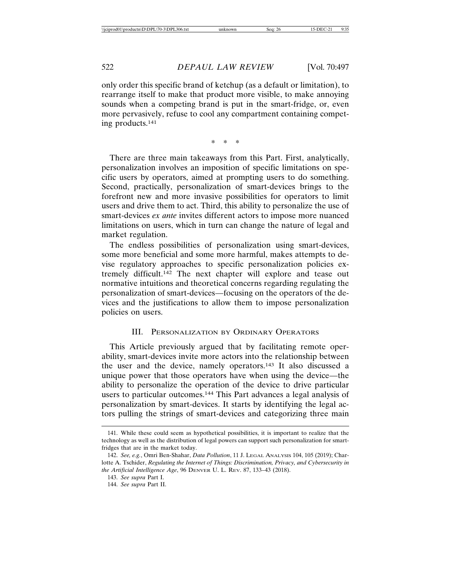only order this specific brand of ketchup (as a default or limitation), to rearrange itself to make that product more visible, to make annoying sounds when a competing brand is put in the smart-fridge, or, even more pervasively, refuse to cool any compartment containing competing products.141

\*\*\*

There are three main takeaways from this Part. First, analytically, personalization involves an imposition of specific limitations on specific users by operators, aimed at prompting users to do something. Second, practically, personalization of smart-devices brings to the forefront new and more invasive possibilities for operators to limit users and drive them to act. Third, this ability to personalize the use of smart-devices *ex ante* invites different actors to impose more nuanced limitations on users, which in turn can change the nature of legal and market regulation.

The endless possibilities of personalization using smart-devices, some more beneficial and some more harmful, makes attempts to devise regulatory approaches to specific personalization policies extremely difficult.142 The next chapter will explore and tease out normative intuitions and theoretical concerns regarding regulating the personalization of smart-devices—focusing on the operators of the devices and the justifications to allow them to impose personalization policies on users.

#### III. PERSONALIZATION BY ORDINARY OPERATORS

This Article previously argued that by facilitating remote operability, smart-devices invite more actors into the relationship between the user and the device, namely operators.143 It also discussed a unique power that those operators have when using the device—the ability to personalize the operation of the device to drive particular users to particular outcomes.144 This Part advances a legal analysis of personalization by smart-devices. It starts by identifying the legal actors pulling the strings of smart-devices and categorizing three main

<sup>141.</sup> While these could seem as hypothetical possibilities, it is important to realize that the technology as well as the distribution of legal powers can support such personalization for smartfridges that are in the market today.

<sup>142.</sup> *See, e.g.*, Omri Ben-Shahar, *Data Pollution*, 11 J. LEGAL ANALYSIS 104, 105 (2019); Charlotte A. Tschider, *Regulating the Internet of Things: Discrimination, Privacy, and Cybersecurity in the Artificial Intelligence Age*, 96 DENVER U. L. REV. 87, 133–43 (2018).

<sup>143.</sup> *See supra* Part I.

<sup>144.</sup> *See supra* Part II.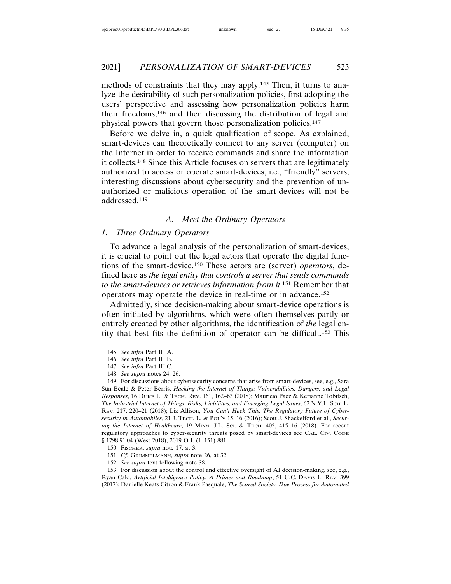methods of constraints that they may apply.145 Then, it turns to analyze the desirability of such personalization policies, first adopting the users' perspective and assessing how personalization policies harm their freedoms,146 and then discussing the distribution of legal and physical powers that govern those personalization policies.147

Before we delve in, a quick qualification of scope. As explained, smart-devices can theoretically connect to any server (computer) on the Internet in order to receive commands and share the information it collects.148 Since this Article focuses on servers that are legitimately authorized to access or operate smart-devices, i.e., "friendly" servers, interesting discussions about cybersecurity and the prevention of unauthorized or malicious operation of the smart-devices will not be addressed.149

#### *A. Meet the Ordinary Operators*

#### *1. Three Ordinary Operators*

To advance a legal analysis of the personalization of smart-devices, it is crucial to point out the legal actors that operate the digital functions of the smart-device.150 These actors are (server) *operators*, defined here as *the legal entity that controls a server that sends commands to the smart-devices or retrieves information from it*. 151 Remember that operators may operate the device in real-time or in advance.152

Admittedly, since decision-making about smart-device operations is often initiated by algorithms, which were often themselves partly or entirely created by other algorithms, the identification of *the* legal entity that best fits the definition of operator can be difficult.153 This

149. For discussions about cybersecurity concerns that arise from smart-devices, see, e.g., Sara Sun Beale & Peter Berris, *Hacking the Internet of Things: Vulnerabilities, Dangers, and Legal Responses*, 16 DUKE L. & TECH. REV. 161, 162–63 (2018); Mauricio Paez & Kerianne Tobitsch, *The Industrial Internet of Things: Risks, Liabilities, and Emerging Legal Issues*, 62 N.Y.L. SCH. L. REV. 217, 220–21 (2018); Liz Allison, *You Can't Hack This: The Regulatory Future of Cybersecurity in Automobiles*, 21 J. TECH. L. & POL'Y 15, 16 (2016); Scott J. Shackelford et al., *Securing the Internet of Healthcare*, 19 MINN. J.L. SCI. & TECH. 405, 415–16 (2018). For recent regulatory approaches to cyber-security threats posed by smart-devices see CAL. CIV. CODE § 1798.91.04 (West 2018); 2019 O.J. (L 151) 881.

150. FISCHER, *supra* note 17, at 3.

151. *Cf*. GRIMMELMANN, *supra* note 26, at 32.

152. *See supra* text following note 38.

153. For discussion about the control and effective oversight of AI decision-making, see, e.g., Ryan Calo, *Artificial Intelligence Policy: A Primer and Roadmap*, 51 U.C. DAVIS L. REV. 399 (2017); Danielle Keats Citron & Frank Pasquale, *The Scored Society: Due Process for Automated*

<sup>145.</sup> *See infra* Part III.A.

<sup>146.</sup> *See infra* Part III.B.

<sup>147.</sup> *See infra* Part III.C.

<sup>148.</sup> *See supra* notes 24, 26.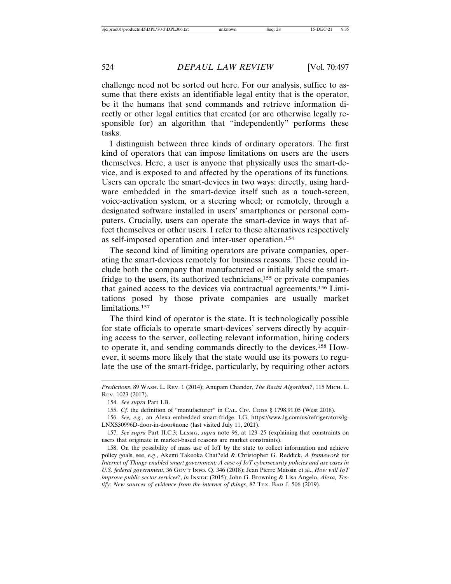challenge need not be sorted out here. For our analysis, suffice to assume that there exists an identifiable legal entity that is the operator, be it the humans that send commands and retrieve information directly or other legal entities that created (or are otherwise legally responsible for) an algorithm that "independently" performs these tasks.

I distinguish between three kinds of ordinary operators. The first kind of operators that can impose limitations on users are the users themselves. Here, a user is anyone that physically uses the smart-device, and is exposed to and affected by the operations of its functions. Users can operate the smart-devices in two ways: directly, using hardware embedded in the smart-device itself such as a touch-screen, voice-activation system, or a steering wheel; or remotely, through a designated software installed in users' smartphones or personal computers. Crucially, users can operate the smart-device in ways that affect themselves or other users. I refer to these alternatives respectively as self-imposed operation and inter-user operation.154

The second kind of limiting operators are private companies, operating the smart-devices remotely for business reasons. These could include both the company that manufactured or initially sold the smartfridge to the users, its authorized technicians,155 or private companies that gained access to the devices via contractual agreements.156 Limitations posed by those private companies are usually market limitations.157

The third kind of operator is the state. It is technologically possible for state officials to operate smart-devices' servers directly by acquiring access to the server, collecting relevant information, hiring coders to operate it, and sending commands directly to the devices.158 However, it seems more likely that the state would use its powers to regulate the use of the smart-fridge, particularly, by requiring other actors

154. *See supra* Part I.B.

155. *Cf*. the definition of "manufacturer" in CAL. CIV. CODE § 1798.91.05 (West 2018).

157. *See supra* Part II.C.3; LESSIG, *supra* note 96, at 123–25 (explaining that constraints on users that originate in market-based reasons are market constraints).

158. On the possibility of mass use of IoT by the state to collect information and achieve policy goals, see, e.g., Akemi Takeoka Chat?eld & Christopher G. Reddick, *A framework for Internet of Things-enabled smart government: A case of IoT cybersecurity policies and use cases in U.S. federal government*, 36 GOV'T INFO. Q. 346 (2018); Jean Pierre Maissin et al., *How will IoT improve public sector services?, in INSIDE (2015); John G. Browning & Lisa Angelo, Alexa, Testify: New sources of evidence from the internet of things*, 82 TEX. BAR J. 506 (2019).

*Predictions*, 89 WASH. L. REV. 1 (2014); Anupam Chander, *The Racist Algorithm?*, 115 MICH. L. REV. 1023 (2017).

<sup>156.</sup> *See, e.g.*, an Alexa embedded smart-fridge. LG, https://www.lg.com/us/refrigerators/lg-LNXS30996D-door-in-door#none (last visited July 11, 2021).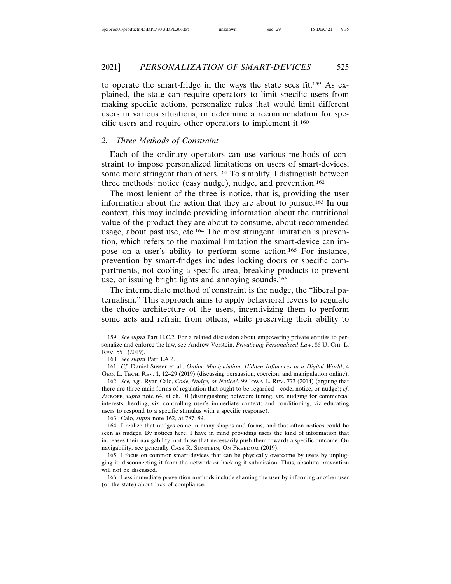to operate the smart-fridge in the ways the state sees fit.159 As explained, the state can require operators to limit specific users from making specific actions, personalize rules that would limit different users in various situations, or determine a recommendation for specific users and require other operators to implement it.160

#### *2. Three Methods of Constraint*

Each of the ordinary operators can use various methods of constraint to impose personalized limitations on users of smart-devices, some more stringent than others.<sup>161</sup> To simplify, I distinguish between three methods: notice (easy nudge), nudge, and prevention.162

The most lenient of the three is notice, that is, providing the user information about the action that they are about to pursue.163 In our context, this may include providing information about the nutritional value of the product they are about to consume, about recommended usage, about past use, etc.164 The most stringent limitation is prevention, which refers to the maximal limitation the smart-device can impose on a user's ability to perform some action.165 For instance, prevention by smart-fridges includes locking doors or specific compartments, not cooling a specific area, breaking products to prevent use, or issuing bright lights and annoying sounds.166

The intermediate method of constraint is the nudge, the "liberal paternalism." This approach aims to apply behavioral levers to regulate the choice architecture of the users, incentivizing them to perform some acts and refrain from others, while preserving their ability to

163. Calo, *supra* note 162, at 787–89.

<sup>159.</sup> *See supra* Part II.C.2. For a related discussion about empowering private entities to personalize and enforce the law, see Andrew Verstein, *Privatizing Personalized Law*, 86 U. CHI. L. REV. 551 (2019).

<sup>160.</sup> *See supra* Part I.A.2.

<sup>161.</sup> *Cf*. Daniel Susser et al., *Online Manipulation: Hidden Influences in a Digital World*, 4 GEO. L. TECH. REV. 1, 12–29 (2019) (discussing persuasion, coercion, and manipulation online).

<sup>162.</sup> *See, e.g.*, Ryan Calo, *Code, Nudge, or Notice?*, 99 IOWA L. REV. 773 (2014) (arguing that there are three main forms of regulation that ought to be regarded—code, notice, or nudge); *cf*. ZUBOFF, *supra* note 64, at ch. 10 (distinguishing between: tuning, viz. nudging for commercial interests; herding, viz. controlling user's immediate context; and conditioning, viz educating users to respond to a specific stimulus with a specific response).

<sup>164.</sup> I realize that nudges come in many shapes and forms, and that often notices could be seen as nudges. By notices here, I have in mind providing users the kind of information that increases their navigability, not those that necessarily push them towards a specific outcome. On navigability, see generally CASS R. SUNSTEIN, ON FREEDOM (2019).

<sup>165.</sup> I focus on common smart-devices that can be physically overcome by users by unplugging it, disconnecting it from the network or hacking it submission. Thus, absolute prevention will not be discussed.

<sup>166.</sup> Less immediate prevention methods include shaming the user by informing another user (or the state) about lack of compliance.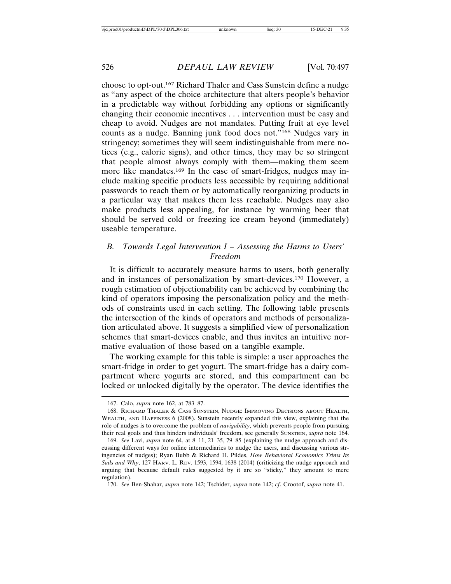choose to opt-out.167 Richard Thaler and Cass Sunstein define a nudge as "any aspect of the choice architecture that alters people's behavior in a predictable way without forbidding any options or significantly changing their economic incentives . . . intervention must be easy and cheap to avoid. Nudges are not mandates. Putting fruit at eye level counts as a nudge. Banning junk food does not."168 Nudges vary in stringency; sometimes they will seem indistinguishable from mere notices (e.g., calorie signs), and other times, they may be so stringent that people almost always comply with them—making them seem more like mandates.<sup>169</sup> In the case of smart-fridges, nudges may include making specific products less accessible by requiring additional passwords to reach them or by automatically reorganizing products in a particular way that makes them less reachable. Nudges may also make products less appealing, for instance by warming beer that should be served cold or freezing ice cream beyond (immediately) useable temperature.

# *B. Towards Legal Intervention I – Assessing the Harms to Users' Freedom*

It is difficult to accurately measure harms to users, both generally and in instances of personalization by smart-devices.170 However, a rough estimation of objectionability can be achieved by combining the kind of operators imposing the personalization policy and the methods of constraints used in each setting. The following table presents the intersection of the kinds of operators and methods of personalization articulated above. It suggests a simplified view of personalization schemes that smart-devices enable, and thus invites an intuitive normative evaluation of those based on a tangible example.

The working example for this table is simple: a user approaches the smart-fridge in order to get yogurt. The smart-fridge has a dairy compartment where yogurts are stored, and this compartment can be locked or unlocked digitally by the operator. The device identifies the

<sup>167.</sup> Calo, *supra* note 162, at 783–87.

<sup>168.</sup> RICHARD THALER & CASS SUNSTEIN, NUDGE: IMPROVING DECISIONS ABOUT HEALTH, WEALTH, AND HAPPINESS 6 (2008). Sunstein recently expanded this view, explaining that the role of nudges is to overcome the problem of *navigability*, which prevents people from pursuing their real goals and thus hinders individuals' freedom, see generally SUNSTEIN, *supra* note 164.

<sup>169.</sup> *See* Lavi, *supra* note 64, at 8–11, 21–35, 79–85 (explaining the nudge approach and discussing different ways for online intermediaries to nudge the users, and discussing various stringencies of nudges); Ryan Bubb & Richard H. Pildes, *How Behavioral Economics Trims Its Sails and Why*, 127 HARV. L. REV. 1593, 1594, 1638 (2014) (criticizing the nudge approach and arguing that because default rules suggested by it are so "sticky," they amount to mere regulation).

<sup>170.</sup> *See* Ben-Shahar, *supra* note 142; Tschider, *supra* note 142; *cf*. Crootof, *supra* note 41.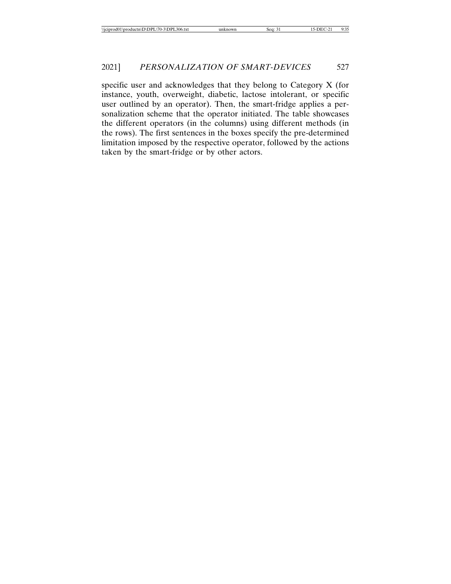specific user and acknowledges that they belong to Category X (for instance, youth, overweight, diabetic, lactose intolerant, or specific user outlined by an operator). Then, the smart-fridge applies a personalization scheme that the operator initiated. The table showcases the different operators (in the columns) using different methods (in the rows). The first sentences in the boxes specify the pre-determined limitation imposed by the respective operator, followed by the actions taken by the smart-fridge or by other actors.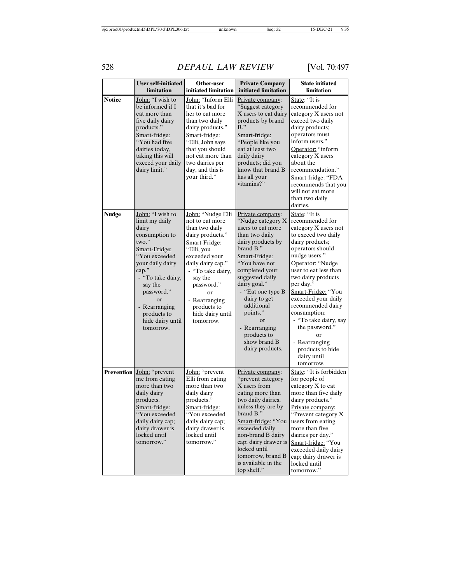# 528 *DEPAUL LAW REVIEW* [Vol. 70:497

|               | <b>User self-initiated</b><br>limitation                                                                                                                                                                                                                   | Other-user<br>initiated limitation                                                                                                                                                                                                                                   | <b>Private Company</b><br>initiated limitation                                                                                                                                                                                                                                                                                                | <b>State initiated</b><br>limitation                                                                                                                                                                                                                                                                                                                                                                                        |
|---------------|------------------------------------------------------------------------------------------------------------------------------------------------------------------------------------------------------------------------------------------------------------|----------------------------------------------------------------------------------------------------------------------------------------------------------------------------------------------------------------------------------------------------------------------|-----------------------------------------------------------------------------------------------------------------------------------------------------------------------------------------------------------------------------------------------------------------------------------------------------------------------------------------------|-----------------------------------------------------------------------------------------------------------------------------------------------------------------------------------------------------------------------------------------------------------------------------------------------------------------------------------------------------------------------------------------------------------------------------|
| <b>Notice</b> | John: "I wish to<br>be informed if I<br>eat more than<br>five daily dairy<br>products."<br>Smart-fridge:<br>"You had five<br>dairies today,<br>taking this will<br>exceed your daily<br>dairy limit."                                                      | John: "Inform Elli<br>that it's bad for<br>her to eat more<br>than two daily<br>dairy products."<br>Smart-fridge:<br>"Elli, John says<br>that you should<br>not eat more than<br>two dairies per<br>day, and this is<br>your third."                                 | Private company:<br>"Suggest category<br>X users to eat dairy<br>products by brand<br>$B$ ."<br>Smart-fridge:<br>"People like you<br>eat at least two<br>daily dairy<br>products; did you<br>know that brand B<br>has all your<br>vitamins?"                                                                                                  | State: "It is<br>recommended for<br>category X users not<br>exceed two daily<br>dairy products;<br>operators must<br>inform users."<br>Operator: "inform<br>category X users<br>about the<br>recommendation."<br>Smart-fridge: "FDA<br>recommends that you<br>will not eat more<br>than two daily<br>dairies.                                                                                                               |
| <b>Nudge</b>  | John: "I wish to<br>limit my daily<br>dairy<br>consumption to<br>two."<br>Smart-Fridge:<br>"You exceeded<br>your daily dairy<br>cap."<br>- "To take dairy,<br>say the<br>password."<br>or<br>- Rearranging<br>products to<br>hide dairy until<br>tomorrow. | John: "Nudge Elli<br>not to eat more<br>than two daily<br>dairy products."<br>Smart-Fridge:<br>"Elli, you<br>exceeded your<br>daily dairy cap."<br>- "To take dairy,<br>say the<br>password."<br>or<br>- Rearranging<br>products to<br>hide dairy until<br>tomorrow. | Private company:<br>"Nudge category X<br>users to eat more<br>than two daily<br>dairy products by<br>brand B."<br>Smart-Fridge:<br>"You have not<br>completed your<br>suggested daily<br>dairy goal."<br>- "Eat one type B<br>dairy to get<br>additional<br>points."<br>or<br>- Rearranging<br>products to<br>show brand B<br>dairy products. | State: "It is<br>recommended for<br>category X users not<br>to exceed two daily<br>dairy products;<br>operators should<br>nudge users."<br>Operator: "Nudge<br>user to eat less than<br>two dairy products<br>per day."<br>Smart-Fridge: "You<br>exceeded your daily<br>recommended dairy<br>consumption:<br>- "To take dairy, say<br>the password."<br>or<br>- Rearranging<br>products to hide<br>dairy until<br>tomorrow. |
|               | <b>Prevention</b> John: "prevent<br>me from eating<br>more than two<br>daily dairy<br>products.<br>Smart-fridge:<br>"You exceeded<br>daily dairy cap;<br>dairy drawer is<br>locked until<br>tomorrow."                                                     | John: "prevent<br>Elli from eating<br>more than two<br>daily dairy<br>products."<br>Smart-fridge:<br>"You exceeded<br>daily dairy cap;<br>dairy drawer is<br>locked until<br>tomorrow."                                                                              | Private company:<br>"prevent category<br>X users from<br>eating more than<br>two daily dairies,<br>unless they are by<br>brand B."<br>Smart-fridge: "You<br>exceeded daily<br>non-brand B dairy<br>cap; dairy drawer is<br>locked until<br>tomorrow, brand B<br>is available in the<br>top shelf."                                            | State: "It is forbidden<br>for people of<br>category X to eat<br>more than five daily<br>dairy products."<br>Private company:<br>"Prevent category X"<br>users from eating<br>more than five<br>dairies per day."<br>Smart-fridge: "You<br>exceeded daily dairy<br>cap; dairy drawer is<br>locked until<br>tomorrow."                                                                                                       |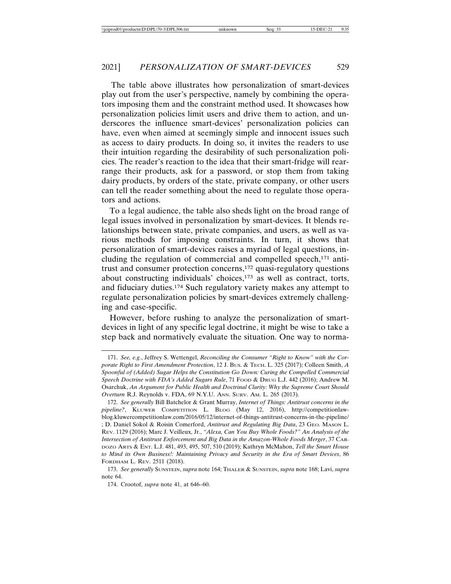The table above illustrates how personalization of smart-devices play out from the user's perspective, namely by combining the operators imposing them and the constraint method used. It showcases how personalization policies limit users and drive them to action, and underscores the influence smart-devices' personalization policies can have, even when aimed at seemingly simple and innocent issues such as access to dairy products. In doing so, it invites the readers to use their intuition regarding the desirability of such personalization policies. The reader's reaction to the idea that their smart-fridge will rearrange their products, ask for a password, or stop them from taking dairy products, by orders of the state, private company, or other users can tell the reader something about the need to regulate those operators and actions.

To a legal audience, the table also sheds light on the broad range of legal issues involved in personalization by smart-devices. It blends relationships between state, private companies, and users, as well as various methods for imposing constraints. In turn, it shows that personalization of smart-devices raises a myriad of legal questions, including the regulation of commercial and compelled speech,<sup>171</sup> antitrust and consumer protection concerns,172 quasi-regulatory questions about constructing individuals' choices,<sup>173</sup> as well as contract, torts, and fiduciary duties.174 Such regulatory variety makes any attempt to regulate personalization policies by smart-devices extremely challenging and case-specific.

However, before rushing to analyze the personalization of smartdevices in light of any specific legal doctrine, it might be wise to take a step back and normatively evaluate the situation. One way to norma-

<sup>171.</sup> *See, e.g.*, Jeffrey S. Wettengel, *Reconciling the Consumer "Right to Know" with the Corporate Right to First Amendment Protection*, 12 J. BUS. & TECH. L. 325 (2017); Colleen Smith, *A Spoonful of (Added) Sugar Helps the Constitution Go Down: Curing the Compelled Commercial Speech Doctrine with FDA's Added Sugars Rule*, 71 FOOD & DRUG L.J. 442 (2016); Andrew M. Osarchuk, *An Argument for Public Health and Doctrinal Clarity: Why the Supreme Court Should Overturn* R.J. Reynolds v. FDA, 69 N.Y.U. ANN. SURV. AM. L. 265 (2013).

<sup>172.</sup> *See generally* Bill Batchelor & Grant Murray, *Internet of Things: Antitrust concerns in the pipeline?*, KLUWER COMPETITION L. BLOG (May 12, 2016), http://competitionlawblog.kluwercompetitionlaw.com/2016/05/12/internet-of-things-antitrust-concerns-in-the-pipeline/ ; D. Daniel Sokol & Roisin Comerford, *Antitrust and Regulating Big Data*, 23 GEO. MASON L. REV. 1129 (2016); Marc J. Veilleux, Jr., *"Alexa, Can You Buy Whole Foods?" An Analysis of the Intersection of Antitrust Enforcement and Big Data in the Amazon-Whole Foods Merger*, 37 CAR-DOZO ARTS & ENT. L.J. 481, 493, 495, 507, 510 (2019); Kathryn McMahon, *Tell the Smart House to Mind its Own Business!: Maintaining Privacy and Security in the Era of Smart Devices*, 86 FORDHAM L. REV. 2511 (2018).

<sup>173.</sup> *See generally* SUNSTEIN, *supra* note 164; THALER & SUNSTEIN, *supra* note 168; Lavi, *supra* note 64.

<sup>174.</sup> Crootof, *supra* note 41, at 646–60.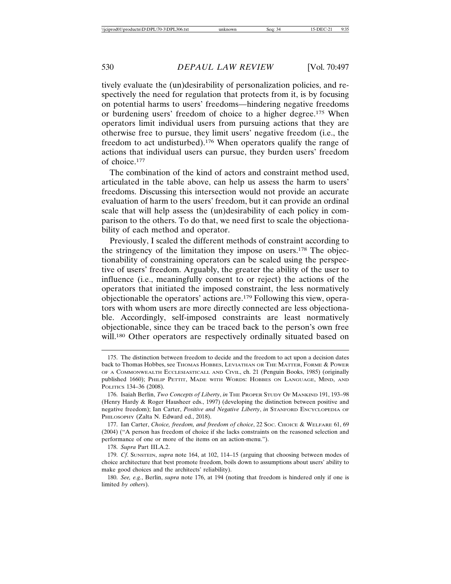tively evaluate the (un)desirability of personalization policies, and respectively the need for regulation that protects from it, is by focusing on potential harms to users' freedoms—hindering negative freedoms or burdening users' freedom of choice to a higher degree.175 When operators limit individual users from pursuing actions that they are otherwise free to pursue, they limit users' negative freedom (i.e., the freedom to act undisturbed).176 When operators qualify the range of actions that individual users can pursue, they burden users' freedom of choice.177

The combination of the kind of actors and constraint method used, articulated in the table above, can help us assess the harm to users' freedoms. Discussing this intersection would not provide an accurate evaluation of harm to the users' freedom, but it can provide an ordinal scale that will help assess the (un)desirability of each policy in comparison to the others. To do that, we need first to scale the objectionability of each method and operator.

Previously, I scaled the different methods of constraint according to the stringency of the limitation they impose on users.178 The objectionability of constraining operators can be scaled using the perspective of users' freedom. Arguably, the greater the ability of the user to influence (i.e., meaningfully consent to or reject) the actions of the operators that initiated the imposed constraint, the less normatively objectionable the operators' actions are.179 Following this view, operators with whom users are more directly connected are less objectionable. Accordingly, self-imposed constraints are least normatively objectionable, since they can be traced back to the person's own free will.<sup>180</sup> Other operators are respectively ordinally situated based on

178. *Supra* Part III.A.2.

179. *Cf*. SUNSTEIN, *supra* note 164, at 102, 114–15 (arguing that choosing between modes of choice architecture that best promote freedom, boils down to assumptions about users' ability to make good choices and the architects' reliability).

180. *See, e.g.*, Berlin, *supra* note 176, at 194 (noting that freedom is hindered only if one is limited *by others*).

<sup>175.</sup> The distinction between freedom to decide and the freedom to act upon a decision dates back to Thomas Hobbes, see THOMAS HOBBES, LEVIATHAN OR THE MATTER, FORME & POWER OF A COMMONWEALTH ECCLESIASTICALL AND CIVIL, ch. 21 (Penguin Books, 1985) (originally published 1660); PHILIP PETTIT, MADE WITH WORDS: HOBBES ON LANGUAGE, MIND, AND POLITICS 134–36 (2008).

<sup>176.</sup> Isaiah Berlin, *Two Concepts of Liberty*, *in* THE PROPER STUDY OF MANKIND 191, 193–98 (Henry Hardy & Roger Hausheer eds., 1997) (developing the distinction between positive and negative freedom); Ian Carter, *Positive and Negative Liberty*, *in* STANFORD ENCYCLOPEDIA OF PHILOSOPHY (Zalta N. Edward ed., 2018).

<sup>177.</sup> Ian Carter, *Choice, freedom, and freedom of choice*, 22 SOC. CHOICE & WELFARE 61, 69 (2004) ("A person has freedom of choice if she lacks constraints on the reasoned selection and performance of one or more of the items on an action-menu.").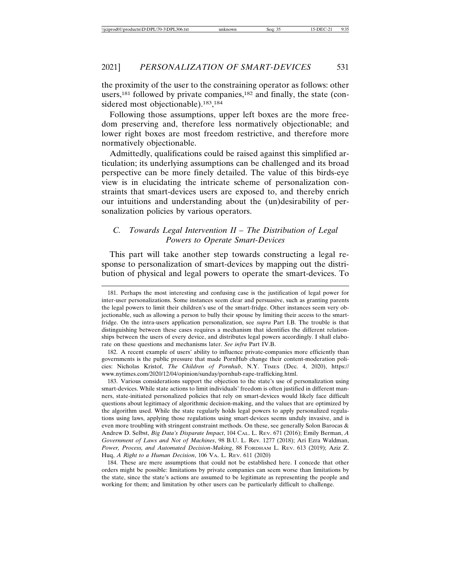the proximity of the user to the constraining operator as follows: other users, $181$  followed by private companies, $182$  and finally, the state (considered most objectionable).<sup>183</sup>,<sup>184</sup>

Following those assumptions, upper left boxes are the more freedom preserving and, therefore less normatively objectionable; and lower right boxes are most freedom restrictive, and therefore more normatively objectionable.

Admittedly, qualifications could be raised against this simplified articulation; its underlying assumptions can be challenged and its broad perspective can be more finely detailed. The value of this birds-eye view is in elucidating the intricate scheme of personalization constraints that smart-devices users are exposed to, and thereby enrich our intuitions and understanding about the (un)desirability of personalization policies by various operators.

# *C. Towards Legal Intervention II – The Distribution of Legal Powers to Operate Smart-Devices*

This part will take another step towards constructing a legal response to personalization of smart-devices by mapping out the distribution of physical and legal powers to operate the smart-devices. To

182. A recent example of users' ability to influence private-companies more efficiently than governments is the public pressure that made PornHub change their content-moderation policies: Nicholas Kristof, *The Children of Pornhub*, N.Y. TIMES (Dec. 4, 2020), https:// www.nytimes.com/2020/12/04/opinion/sunday/pornhub-rape-trafficking.html.

183. Various considerations support the objection to the state's use of personalization using smart-devices. While state actions to limit individuals' freedom is often justified in different manners, state-initiated personalized policies that rely on smart-devices would likely face difficult questions about legitimacy of algorithmic decision-making, and the values that are optimized by the algorithm used. While the state regularly holds legal powers to apply personalized regulations using laws, applying those regulations using smart-devices seems unduly invasive, and is even more troubling with stringent constraint methods. On these, see generally Solon Barocas & Andrew D. Selbst, *Big Data's Disparate Impact*, 104 CAL. L. REV. 671 (2016); Emily Berman, *A Government of Laws and Not of Machines*, 98 B.U. L. Rev. 1277 (2018); Ari Ezra Waldman, *Power, Process, and Automated Decision-Making*, 88 FORDHAM L. REV. 613 (2019); Aziz Z. Huq, *A Right to a Human Decision*, 106 VA. L. REV. 611 (2020)

<sup>181.</sup> Perhaps the most interesting and confusing case is the justification of legal power for inter-user personalizations. Some instances seem clear and persuasive, such as granting parents the legal powers to limit their children's use of the smart-fridge. Other instances seem very objectionable, such as allowing a person to bully their spouse by limiting their access to the smartfridge. On the intra-users application personalization, see *supra* Part I.B. The trouble is that distinguishing between these cases requires a mechanism that identifies the different relationships between the users of every device, and distributes legal powers accordingly. I shall elaborate on these questions and mechanisms later. *See infra* Part IV.B.

<sup>184.</sup> These are mere assumptions that could not be established here. I concede that other orders might be possible: limitations by private companies can seem worse than limitations by the state, since the state's actions are assumed to be legitimate as representing the people and working for them; and limitation by other users can be particularly difficult to challenge.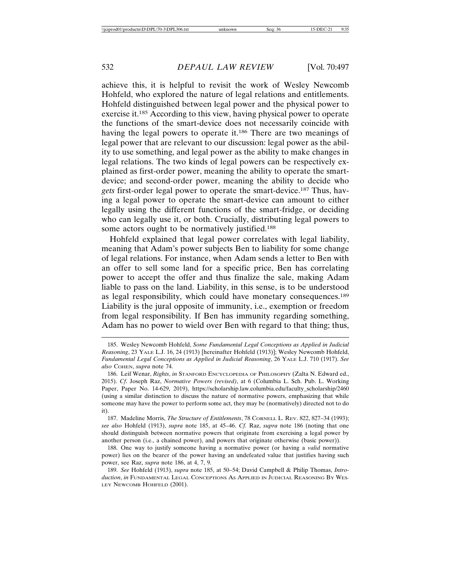achieve this, it is helpful to revisit the work of Wesley Newcomb Hohfeld, who explored the nature of legal relations and entitlements. Hohfeld distinguished between legal power and the physical power to exercise it.185 According to this view, having physical power to operate the functions of the smart-device does not necessarily coincide with having the legal powers to operate it.186 There are two meanings of legal power that are relevant to our discussion: legal power as the ability to use something, and legal power as the ability to make changes in legal relations. The two kinds of legal powers can be respectively explained as first-order power, meaning the ability to operate the smartdevice; and second-order power, meaning the ability to decide who *gets* first-order legal power to operate the smart-device.187 Thus, having a legal power to operate the smart-device can amount to either legally using the different functions of the smart-fridge, or deciding who can legally use it, or both. Crucially, distributing legal powers to some actors ought to be normatively justified.<sup>188</sup>

Hohfeld explained that legal power correlates with legal liability, meaning that Adam's power subjects Ben to liability for some change of legal relations. For instance, when Adam sends a letter to Ben with an offer to sell some land for a specific price, Ben has correlating power to accept the offer and thus finalize the sale, making Adam liable to pass on the land. Liability, in this sense, is to be understood as legal responsibility, which could have monetary consequences.189 Liability is the jural opposite of immunity, i.e., exemption or freedom from legal responsibility. If Ben has immunity regarding something, Adam has no power to wield over Ben with regard to that thing; thus,

<sup>185.</sup> Wesley Newcomb Hohfeld, *Some Fundamental Legal Conceptions as Applied in Judicial Reasoning*, 23 YALE L.J. 16, 24 (1913) [hereinafter Hohfeld (1913)]; Wesley Newcomb Hohfeld, *Fundamental Legal Conceptions as Applied in Judicial Reasoning*, 26 YALE L.J. 710 (1917). *See also* COHEN, *supra* note 74.

<sup>186.</sup> Leif Wenar, *Rights*, *in* STANFORD ENCYCLOPEDIA OF PHILOSOPHY (Zalta N. Edward ed., 2015). *Cf*. Joseph Raz, *Normative Powers (revised)*, at 6 (Columbia L. Sch. Pub. L. Working Paper, Paper No. 14-629, 2019), https://scholarship.law.columbia.edu/faculty\_scholarship/2460 (using a similar distinction to discuss the nature of normative powers, emphasizing that while someone may have the power to perform some act, they may be (normatively) directed not to do it).

<sup>187.</sup> Madeline Morris, *The Structure of Entitlements*, 78 CORNELL L. REV. 822, 827–34 (1993); *see also* Hohfeld (1913), *supra* note 185, at 45–46. *Cf.* Raz, *supra* note 186 (noting that one should distinguish between normative powers that originate from exercising a legal power by another person (i.e., a chained power), and powers that originate otherwise (basic power)).

<sup>188.</sup> One way to justify someone having a normative power (or having a *valid* normative power) lies on the bearer of the power having an undefeated value that justifies having such power, see Raz, *supra* note 186, at 4, 7, 9.

<sup>189.</sup> *See* Hohfeld (1913), *supra* note 185, at 50–54; David Campbell & Philip Thomas, *Introduction*, *in* FUNDAMENTAL LEGAL CONCEPTIONS AS APPLIED IN JUDICIAL REASONING BY WES-LEY NEWCOMB HOHFELD (2001).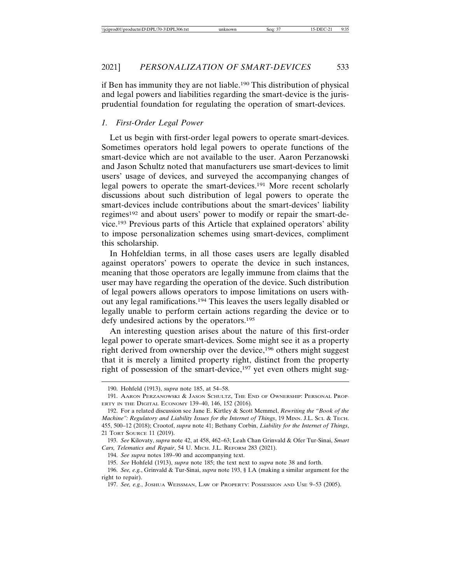if Ben has immunity they are not liable.190 This distribution of physical and legal powers and liabilities regarding the smart-device is the jurisprudential foundation for regulating the operation of smart-devices.

#### *1. First-Order Legal Power*

Let us begin with first-order legal powers to operate smart-devices. Sometimes operators hold legal powers to operate functions of the smart-device which are not available to the user. Aaron Perzanowski and Jason Schultz noted that manufacturers use smart-devices to limit users' usage of devices, and surveyed the accompanying changes of legal powers to operate the smart-devices.191 More recent scholarly discussions about such distribution of legal powers to operate the smart-devices include contributions about the smart-devices' liability regimes192 and about users' power to modify or repair the smart-device.193 Previous parts of this Article that explained operators' ability to impose personalization schemes using smart-devices, compliment this scholarship.

In Hohfeldian terms, in all those cases users are legally disabled against operators' powers to operate the device in such instances, meaning that those operators are legally immune from claims that the user may have regarding the operation of the device. Such distribution of legal powers allows operators to impose limitations on users without any legal ramifications.194 This leaves the users legally disabled or legally unable to perform certain actions regarding the device or to defy undesired actions by the operators.195

An interesting question arises about the nature of this first-order legal power to operate smart-devices. Some might see it as a property right derived from ownership over the device,<sup>196</sup> others might suggest that it is merely a limited property right, distinct from the property right of possession of the smart-device,<sup>197</sup> yet even others might sug-

192. For a related discussion see Jane E. Kirtley & Scott Memmel, *Rewriting the "Book of the Machine": Regulatory and Liability Issues for the Internet of Things*, 19 MINN. J.L. SCI. & TECH. 455, 500–12 (2018); Crootof, *supra* note 41; Bethany Corbin, *Liability for the Internet of Things*, 21 TORT SOURCE 11 (2019).

194. *See supra* notes 189–90 and accompanying text.

<sup>190.</sup> Hohfeld (1913), *supra* note 185, at 54–58.

<sup>191.</sup> AARON PERZANOWSKI & JASON SCHULTZ, THE END OF OWNERSHIP: PERSONAL PROP-ERTY IN THE DIGITAL ECONOMY 139–40, 146, 152 (2016).

<sup>193.</sup> *See* Kilovaty, *supra* note 42, at 458, 462–63; Leah Chan Grinvald & Ofer Tur-Sinai, *Smart Cars, Telematics and Repair*, 54 U. MICH. J.L. REFORM 283 (2021).

<sup>195.</sup> *See* Hohfeld (1913), *supra* note 185; the text next to *supra* note 38 and forth.

<sup>196.</sup> *See, e.g.*, Grinvald & Tur-Sinai, *supra* note 193, § I.A (making a similar argument for the right to repair).

<sup>197.</sup> *See, e.g.*, JOSHUA WEISSMAN, LAW OF PROPERTY: POSSESSION AND USE 9–53 (2005).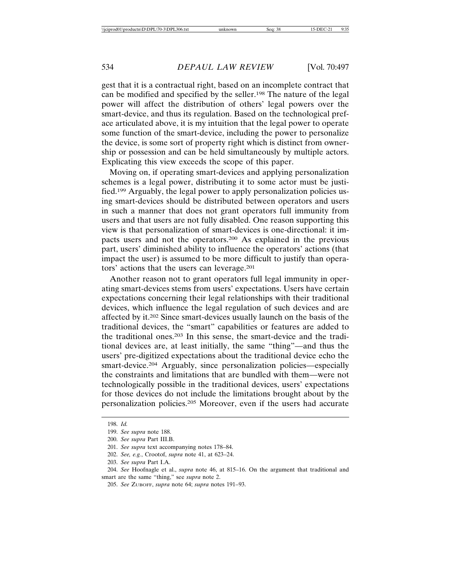gest that it is a contractual right, based on an incomplete contract that can be modified and specified by the seller.198 The nature of the legal power will affect the distribution of others' legal powers over the smart-device, and thus its regulation. Based on the technological preface articulated above, it is my intuition that the legal power to operate some function of the smart-device, including the power to personalize the device, is some sort of property right which is distinct from ownership or possession and can be held simultaneously by multiple actors. Explicating this view exceeds the scope of this paper.

Moving on, if operating smart-devices and applying personalization schemes is a legal power, distributing it to some actor must be justified.199 Arguably, the legal power to apply personalization policies using smart-devices should be distributed between operators and users in such a manner that does not grant operators full immunity from users and that users are not fully disabled. One reason supporting this view is that personalization of smart-devices is one-directional: it impacts users and not the operators.200 As explained in the previous part, users' diminished ability to influence the operators' actions (that impact the user) is assumed to be more difficult to justify than operators' actions that the users can leverage.201

Another reason not to grant operators full legal immunity in operating smart-devices stems from users' expectations. Users have certain expectations concerning their legal relationships with their traditional devices, which influence the legal regulation of such devices and are affected by it.202 Since smart-devices usually launch on the basis of the traditional devices, the "smart" capabilities or features are added to the traditional ones.203 In this sense, the smart-device and the traditional devices are, at least initially, the same "thing"—and thus the users' pre-digitized expectations about the traditional device echo the smart-device.<sup>204</sup> Arguably, since personalization policies—especially the constraints and limitations that are bundled with them—were not technologically possible in the traditional devices, users' expectations for those devices do not include the limitations brought about by the personalization policies.205 Moreover, even if the users had accurate

<sup>198.</sup> *Id.*

<sup>199.</sup> *See supra* note 188.

<sup>200.</sup> *See supra* Part III.B.

<sup>201.</sup> *See supra* text accompanying notes 178–84.

<sup>202.</sup> *See, e.g.*, Crootof, *supra* note 41, at 623–24.

<sup>203.</sup> *See supra* Part I.A.

<sup>204.</sup> *See* Hoofnagle et al., *supra* note 46, at 815–16. On the argument that traditional and smart are the same "thing," see *supra* note 2.

<sup>205.</sup> *See* ZUBOFF, *supra* note 64; *supra* notes 191–93.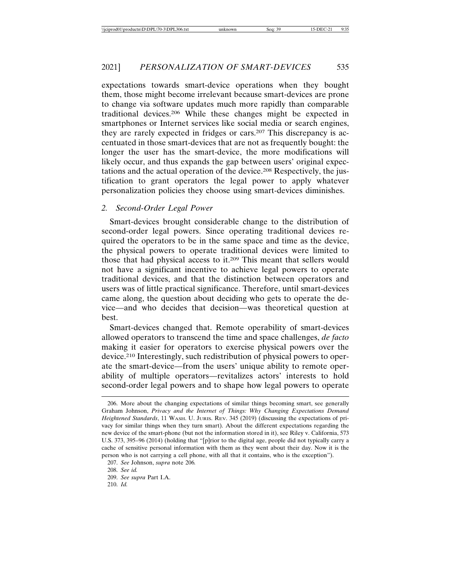expectations towards smart-device operations when they bought them, those might become irrelevant because smart-devices are prone to change via software updates much more rapidly than comparable traditional devices.206 While these changes might be expected in smartphones or Internet services like social media or search engines, they are rarely expected in fridges or cars.207 This discrepancy is accentuated in those smart-devices that are not as frequently bought: the longer the user has the smart-device, the more modifications will likely occur, and thus expands the gap between users' original expectations and the actual operation of the device.208 Respectively, the justification to grant operators the legal power to apply whatever personalization policies they choose using smart-devices diminishes.

#### *2. Second-Order Legal Power*

Smart-devices brought considerable change to the distribution of second-order legal powers. Since operating traditional devices required the operators to be in the same space and time as the device, the physical powers to operate traditional devices were limited to those that had physical access to it.209 This meant that sellers would not have a significant incentive to achieve legal powers to operate traditional devices, and that the distinction between operators and users was of little practical significance. Therefore, until smart-devices came along, the question about deciding who gets to operate the device—and who decides that decision—was theoretical question at best.

Smart-devices changed that. Remote operability of smart-devices allowed operators to transcend the time and space challenges, *de facto* making it easier for operators to exercise physical powers over the device.210 Interestingly, such redistribution of physical powers to operate the smart-device—from the users' unique ability to remote operability of multiple operators—revitalizes actors' interests to hold second-order legal powers and to shape how legal powers to operate

<sup>206.</sup> More about the changing expectations of similar things becoming smart, see generally Graham Johnson, *Privacy and the Internet of Things: Why Changing Expectations Demand Heightened Standards*, 11 WASH. U. JURIS. REV. 345 (2019) (discussing the expectations of privacy for similar things when they turn smart). About the different expectations regarding the new device of the smart-phone (but not the information stored in it), see Riley v. California, 573 U.S. 373, 395–96 (2014) (holding that "[p]rior to the digital age, people did not typically carry a cache of sensitive personal information with them as they went about their day. Now it is the person who is not carrying a cell phone, with all that it contains, who is the exception").

<sup>207.</sup> *See* Johnson, *supra* note 206*.*

<sup>208.</sup> *See id.*

<sup>209.</sup> *See supra* Part I.A.

<sup>210.</sup> *Id.*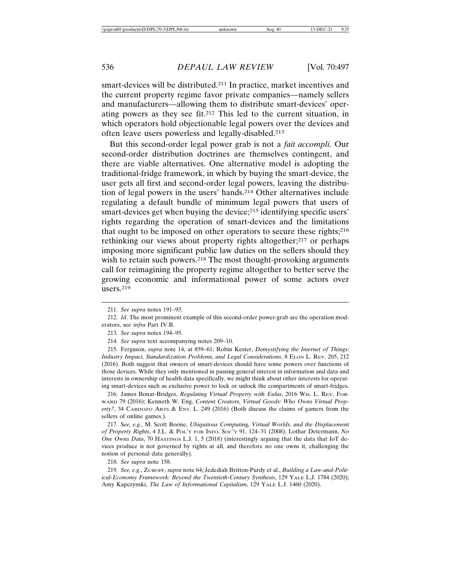smart-devices will be distributed.211 In practice, market incentives and the current property regime favor private companies—namely sellers and manufacturers—allowing them to distribute smart-devices' operating powers as they see fit.212 This led to the current situation, in which operators hold objectionable legal powers over the devices and often leave users powerless and legally-disabled.213

But this second-order legal power grab is not a *fait accompli*. Our second-order distribution doctrines are themselves contingent, and there are viable alternatives. One alternative model is adopting the traditional-fridge framework, in which by buying the smart-device, the user gets all first and second-order legal powers, leaving the distribution of legal powers in the users' hands.214 Other alternatives include regulating a default bundle of minimum legal powers that users of smart-devices get when buying the device;<sup>215</sup> identifying specific users' rights regarding the operation of smart-devices and the limitations that ought to be imposed on other operators to secure these rights;216 rethinking our views about property rights altogether;<sup>217</sup> or perhaps imposing more significant public law duties on the sellers should they wish to retain such powers.<sup>218</sup> The most thought-provoking arguments call for reimagining the property regime altogether to better serve the growing economic and informational power of some actors over users.219

216. James Bonar-Bridges, *Regulating Virtual Property with Eulas*, 2016 WIS. L. REV. FOR-WARD 79 (2016); Kenneth W. Eng, *Content Creators, Virtual Goods: Who Owns Virtual Property?*, 34 CARDOZO ARTS & ENT. L. 249 (2016) (Both discuss the claims of gamers from the sellers of online games.).

217. S*ee, e.g.*, M. Scott Boone, *Ubiquitous Computing, Virtual Worlds, and the Displacement of Property Rights*, 4 J.L. & POL'Y FOR INFO. SOC'Y 91, 124–31 (2008); Lothar Determann, *No One Owns Data*, 70 HASTINGS L.J. 1, 5 (2018) (interestingly arguing that the data that IoT devices produce is not governed by rights at all, and therefore no one owns it, challenging the notion of personal data generally).

218. *See supra* note 158.

219. *See, e.g.*, ZUBOFF, *supra* note 64; Jedediah Britton-Purdy et al., *Building a Law-and-Political-Economy Framework: Beyond the Twentieth-Century Synthesis*, 129 YALE L.J. 1784 (2020); Amy Kapczynski, *The Law of Informational Capitalism*, 129 YALE L.J. 1460 (2020).

<sup>211.</sup> *See supra* notes 191–93.

<sup>212.</sup> *Id*. The most prominent example of this second-order power-grab are the operation moderators, see *infra* Part IV.B.

<sup>213.</sup> *See supra* notes 194–95.

<sup>214.</sup> *See supra* text accompanying notes 209–10.

<sup>215.</sup> Ferguson, *supra* note 14, at 859–61; Robin Kester, *Demystifying the Internet of Things: Industry Impact, Standardization Problems, and Legal Considerations*, 8 ELON L. REV. 205, 212 (2016). Both suggest that owners of smart-devices should have some powers over functions of those devices. While they only mentioned in passing general interest in information and data and interests in ownership of health data specifically, we might think about other interests for operating smart-devices such as exclusive power to lock or unlock the compartments of smart-fridges.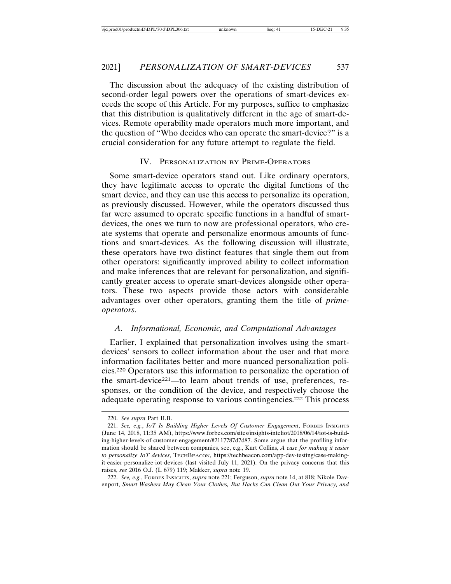The discussion about the adequacy of the existing distribution of second-order legal powers over the operations of smart-devices exceeds the scope of this Article. For my purposes, suffice to emphasize that this distribution is qualitatively different in the age of smart-devices. Remote operability made operators much more important, and the question of "Who decides who can operate the smart-device?" is a crucial consideration for any future attempt to regulate the field.

#### IV. PERSONALIZATION BY PRIME-OPERATORS

Some smart-device operators stand out. Like ordinary operators, they have legitimate access to operate the digital functions of the smart device, and they can use this access to personalize its operation, as previously discussed. However, while the operators discussed thus far were assumed to operate specific functions in a handful of smartdevices, the ones we turn to now are professional operators, who create systems that operate and personalize enormous amounts of functions and smart-devices. As the following discussion will illustrate, these operators have two distinct features that single them out from other operators: significantly improved ability to collect information and make inferences that are relevant for personalization, and significantly greater access to operate smart-devices alongside other operators. These two aspects provide those actors with considerable advantages over other operators, granting them the title of *primeoperators*.

#### *A. Informational, Economic, and Computational Advantages*

Earlier, I explained that personalization involves using the smartdevices' sensors to collect information about the user and that more information facilitates better and more nuanced personalization policies.220 Operators use this information to personalize the operation of the smart-device221—to learn about trends of use, preferences, responses, or the condition of the device, and respectively choose the adequate operating response to various contingencies.222 This process

222. *See, e.g.*, FORBES INSIGHTS, *supra* note 221; Ferguson, *supra* note 14, at 818; Nikole Davenport, *Smart Washers May Clean Your Clothes, But Hacks Can Clean Out Your Privacy, and*

<sup>220.</sup> *See supra* Part II.B.

<sup>221.</sup> *See, e.g.*, *IoT Is Building Higher Levels Of Customer Engagement*, FORBES INSIGHTS (June 14, 2018, 11:35 AM), https://www.forbes.com/sites/insights-inteliot/2018/06/14/iot-is-building-higher-levels-of-customer-engagement/#2117787d7d87. Some argue that the profiling information should be shared between companies, see, e.g., Kurt Collins, *A case for making it easier to personalize IoT devices*, TECHBEACON, https://techbeacon.com/app-dev-testing/case-makingit-easier-personalize-iot-devices (last visited July 11, 2021). On the privacy concerns that this raises, *see* 2016 O.J. (L 679) 119; Makker, *supra* note 19.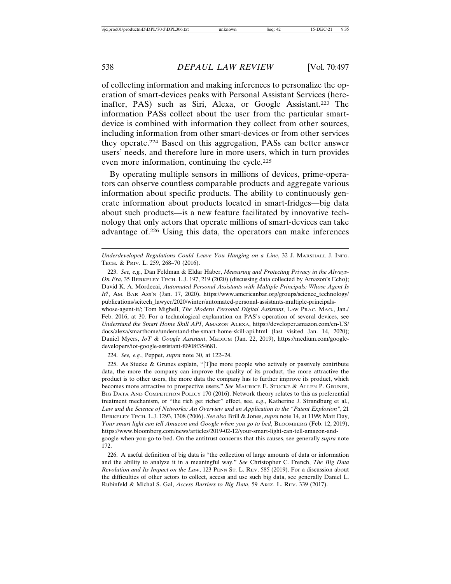of collecting information and making inferences to personalize the operation of smart-devices peaks with Personal Assistant Services (hereinafter, PAS) such as Siri, Alexa, or Google Assistant.<sup>223</sup> The information PASs collect about the user from the particular smartdevice is combined with information they collect from other sources, including information from other smart-devices or from other services they operate.224 Based on this aggregation, PASs can better answer users' needs, and therefore lure in more users, which in turn provides even more information, continuing the cycle.225

By operating multiple sensors in millions of devices, prime-operators can observe countless comparable products and aggregate various information about specific products. The ability to continuously generate information about products located in smart-fridges—big data about such products—is a new feature facilitated by innovative technology that only actors that operate millions of smart-devices can take advantage of.226 Using this data, the operators can make inferences

whose-agent-it/; Tom Mighell, *The Modern Personal Digital Assistant*, LAW PRAC. MAG., Jan./ Feb. 2016, at 30. For a technological explanation on PAS's operation of several devices, see *Understand the Smart Home Skill API*, AMAZON ALEXA, https://developer.amazon.com/en-US/ docs/alexa/smarthome/understand-the-smart-home-skill-api.html (last visited Jan. 14, 2020); Daniel Myers, *IoT & Google Assistant*, MEDIUM (Jan. 22, 2019), https://medium.com/googledevelopers/iot-google-assistant-f0908f354681.

224. *See, e.g.*, Peppet, *supra* note 30, at 122–24.

225. As Stucke & Grunes explain, "[T]he more people who actively or passively contribute data, the more the company can improve the quality of its product, the more attractive the product is to other users, the more data the company has to further improve its product, which becomes more attractive to prospective users." *See* MAURICE E. STUCKE & ALLEN P. GRUNES, BIG DATA AND COMPETITION POLICY 170 (2016). Network theory relates to this as preferential treatment mechanism, or "the rich get richer" effect, see, e.g., Katherine J. Strandburg et al., *Law and the Science of Networks: An Overview and an Application to the "Patent Explosion"*, 21 BERKELEY TECH. L.J. 1293, 1308 (2006). *See also* Brill & Jones, *supra* note 14, at 1199; Matt Day, *Your smart light can tell Amazon and Google when you go to bed*, BLOOMBERG (Feb. 12, 2019), https://www.bloomberg.com/news/articles/2019-02-12/your-smart-light-can-tell-amazon-andgoogle-when-you-go-to-bed. On the antitrust concerns that this causes, see generally *supra* note 172.

226. A useful definition of big data is "the collection of large amounts of data or information and the ability to analyze it in a meaningful way." *See* Christopher C. French, *The Big Data Revolution and Its Impact on the Law*, 123 PENN ST. L. REV. 585 (2019). For a discussion about the difficulties of other actors to collect, access and use such big data, see generally Daniel L. Rubinfeld & Michal S. Gal, *Access Barriers to Big Data*, 59 ARIZ. L. REV. 339 (2017).

*Underdeveloped Regulations Could Leave You Hanging on a Line*, 32 J. MARSHALL J. INFO. TECH. & PRIV. L. 259, 268–70 (2016).

<sup>223.</sup> *See, e.g.*, Dan Feldman & Eldar Haber, *Measuring and Protecting Privacy in the Always-On Era*, 35 BERKELEY TECH. L.J. 197, 219 (2020) (discussing data collected by Amazon's Echo); David K. A. Mordecai, *Automated Personal Assistants with Multiple Principals: Whose Agent Is It?*, AM. BAR ASS'N (Jan. 17, 2020), https://www.americanbar.org/groups/science\_technology/ publications/scitech\_lawyer/2020/winter/automated-personal-assistants-multiple-principals-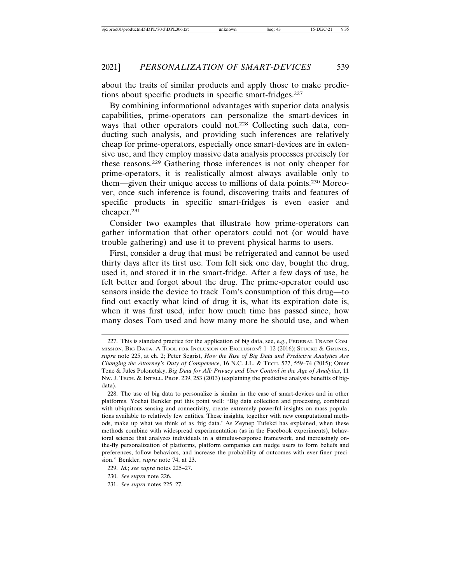about the traits of similar products and apply those to make predictions about specific products in specific smart-fridges.227

By combining informational advantages with superior data analysis capabilities, prime-operators can personalize the smart-devices in ways that other operators could not.<sup>228</sup> Collecting such data, conducting such analysis, and providing such inferences are relatively cheap for prime-operators, especially once smart-devices are in extensive use, and they employ massive data analysis processes precisely for these reasons.229 Gathering those inferences is not only cheaper for prime-operators, it is realistically almost always available only to them—given their unique access to millions of data points.230 Moreover, once such inference is found, discovering traits and features of specific products in specific smart-fridges is even easier and cheaper.231

Consider two examples that illustrate how prime-operators can gather information that other operators could not (or would have trouble gathering) and use it to prevent physical harms to users.

First, consider a drug that must be refrigerated and cannot be used thirty days after its first use. Tom felt sick one day, bought the drug, used it, and stored it in the smart-fridge. After a few days of use, he felt better and forgot about the drug. The prime-operator could use sensors inside the device to track Tom's consumption of this drug—to find out exactly what kind of drug it is, what its expiration date is, when it was first used, infer how much time has passed since, how many doses Tom used and how many more he should use, and when

<sup>227.</sup> This is standard practice for the application of big data, see, e.g., FEDERAL TRADE COM-MISSION, BIG DATA: A TOOL FOR INCLUSION OR EXCLUSION? 1–12 (2016); STUCKE & GRUNES, *supra* note 225, at ch. 2; Peter Segrist, *How the Rise of Big Data and Predictive Analytics Are Changing the Attorney's Duty of Competence*, 16 N.C. J.L. & TECH. 527, 559–74 (2015); Omer Tene & Jules Polonetsky, *Big Data for All: Privacy and User Control in the Age of Analytics*, 11 NW. J. TECH. & INTELL. PROP. 239, 253 (2013) (explaining the predictive analysis benefits of bigdata).

<sup>228.</sup> The use of big data to personalize is similar in the case of smart-devices and in other platforms. Yochai Benkler put this point well: "Big data collection and processing, combined with ubiquitous sensing and connectivity, create extremely powerful insights on mass populations available to relatively few entities. These insights, together with new computational methods, make up what we think of as 'big data.' As Zeynep Tufekci has explained, when these methods combine with widespread experimentation (as in the Facebook experiments), behavioral science that analyzes individuals in a stimulus-response framework, and increasingly onthe-fly personalization of platforms, platform companies can nudge users to form beliefs and preferences, follow behaviors, and increase the probability of outcomes with ever-finer precision." Benkler, *supra* note 74, at 23.

<sup>229.</sup> *Id.*; *see supra* notes 225–27.

<sup>230.</sup> *See* s*upra* note 226.

<sup>231.</sup> *See supra* notes 225–27.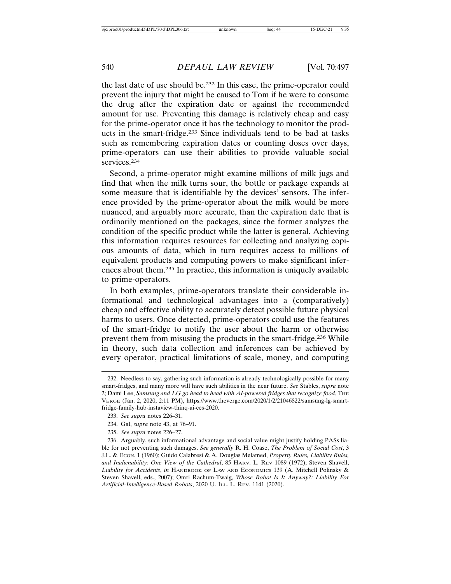the last date of use should be.232 In this case, the prime-operator could prevent the injury that might be caused to Tom if he were to consume the drug after the expiration date or against the recommended amount for use. Preventing this damage is relatively cheap and easy for the prime-operator once it has the technology to monitor the products in the smart-fridge.233 Since individuals tend to be bad at tasks such as remembering expiration dates or counting doses over days, prime-operators can use their abilities to provide valuable social services.<sup>234</sup>

Second, a prime-operator might examine millions of milk jugs and find that when the milk turns sour, the bottle or package expands at some measure that is identifiable by the devices' sensors. The inference provided by the prime-operator about the milk would be more nuanced, and arguably more accurate, than the expiration date that is ordinarily mentioned on the packages, since the former analyzes the condition of the specific product while the latter is general. Achieving this information requires resources for collecting and analyzing copious amounts of data, which in turn requires access to millions of equivalent products and computing powers to make significant inferences about them.235 In practice, this information is uniquely available to prime-operators.

In both examples, prime-operators translate their considerable informational and technological advantages into a (comparatively) cheap and effective ability to accurately detect possible future physical harms to users. Once detected, prime-operators could use the features of the smart-fridge to notify the user about the harm or otherwise prevent them from misusing the products in the smart-fridge.236 While in theory, such data collection and inferences can be achieved by every operator, practical limitations of scale, money, and computing

<sup>232.</sup> Needless to say, gathering such information is already technologically possible for many smart-fridges, and many more will have such abilities in the near future. *See* Stables, *supra* note 2; Dami Lee, *Samsung and LG go head to head with AI-powered fridges that recognize food*, THE VERGE (Jan. 2, 2020, 2:11 PM), https://www.theverge.com/2020/1/2/21046822/samsung-lg-smartfridge-family-hub-instaview-thinq-ai-ces-2020.

<sup>233.</sup> *See supra* notes 226–31.

<sup>234.</sup> Gal, *supra* note 43, at 76–91.

<sup>235.</sup> *See supra* notes 226–27.

<sup>236.</sup> Arguably, such informational advantage and social value might justify holding PASs liable for not preventing such damages. *See generally* R. H. Coase, *The Problem of Social Cost*, 3 J.L. & ECON. 1 (1960); Guido Calabresi & A. Douglas Melamed, *Property Rules, Liability Rules, and Inalienability: One View of the Cathedral*, 85 HARV. L. REV 1089 (1972); Steven Shavell, *Liability for Accidents*, *in* HANDBOOK OF LAW AND ECONOMICS 139 (A. Mitchell Polinsky & Steven Shavell, eds., 2007); Omri Rachum-Twaig, *Whose Robot Is It Anyway?: Liability For Artificial-Intelligence-Based Robots*, 2020 U. ILL. L. REV. 1141 (2020).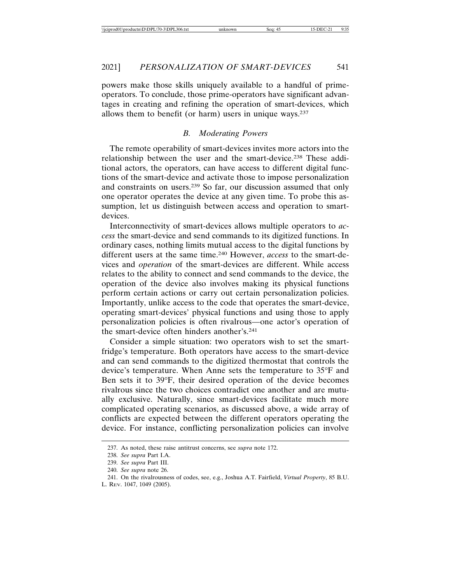powers make those skills uniquely available to a handful of primeoperators. To conclude, those prime-operators have significant advantages in creating and refining the operation of smart-devices, which allows them to benefit (or harm) users in unique ways.237

#### *B. Moderating Powers*

The remote operability of smart-devices invites more actors into the relationship between the user and the smart-device.238 These additional actors, the operators, can have access to different digital functions of the smart-device and activate those to impose personalization and constraints on users.239 So far, our discussion assumed that only one operator operates the device at any given time. To probe this assumption, let us distinguish between access and operation to smartdevices.

Interconnectivity of smart-devices allows multiple operators to *access* the smart-device and send commands to its digitized functions. In ordinary cases, nothing limits mutual access to the digital functions by different users at the same time.240 However, *access* to the smart-devices and *operation* of the smart-devices are different. While access relates to the ability to connect and send commands to the device, the operation of the device also involves making its physical functions perform certain actions or carry out certain personalization policies. Importantly, unlike access to the code that operates the smart-device, operating smart-devices' physical functions and using those to apply personalization policies is often rivalrous—one actor's operation of the smart-device often hinders another's.241

Consider a simple situation: two operators wish to set the smartfridge's temperature. Both operators have access to the smart-device and can send commands to the digitized thermostat that controls the device's temperature. When Anne sets the temperature to 35°F and Ben sets it to 39°F, their desired operation of the device becomes rivalrous since the two choices contradict one another and are mutually exclusive. Naturally, since smart-devices facilitate much more complicated operating scenarios, as discussed above, a wide array of conflicts are expected between the different operators operating the device. For instance, conflicting personalization policies can involve

<sup>237.</sup> As noted, these raise antitrust concerns, see *supra* note 172.

<sup>238.</sup> *See supra* Part I.A.

<sup>239.</sup> *See supra* Part III.

<sup>240.</sup> *See supra* note 26.

<sup>241.</sup> On the rivalrousness of codes, see, e.g., Joshua A.T. Fairfield, *Virtual Property*, 85 B.U.

L. REV. 1047, 1049 (2005).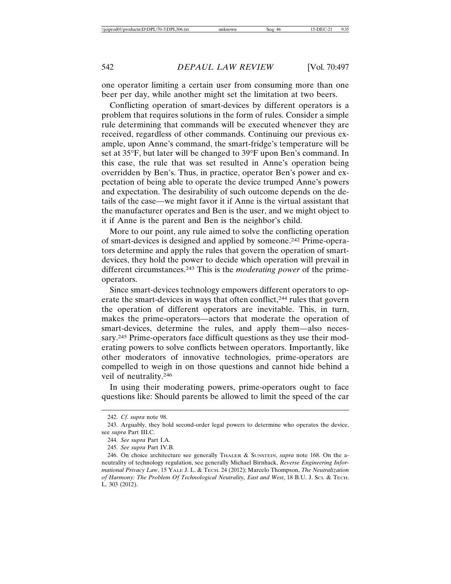one operator limiting a certain user from consuming more than one beer per day, while another might set the limitation at two beers.

Conflicting operation of smart-devices by different operators is a problem that requires solutions in the form of rules. Consider a simple rule determining that commands will be executed whenever they are received, regardless of other commands. Continuing our previous example, upon Anne's command, the smart-fridge's temperature will be set at 35°F, but later will be changed to 39°F upon Ben's command. In this case, the rule that was set resulted in Anne's operation being overridden by Ben's. Thus, in practice, operator Ben's power and expectation of being able to operate the device trumped Anne's powers and expectation. The desirability of such outcome depends on the details of the case—we might favor it if Anne is the virtual assistant that the manufacturer operates and Ben is the user, and we might object to it if Anne is the parent and Ben is the neighbor's child.

More to our point, any rule aimed to solve the conflicting operation of smart-devices is designed and applied by someone.242 Prime-operators determine and apply the rules that govern the operation of smartdevices, they hold the power to decide which operation will prevail in different circumstances.243 This is the *moderating power* of the primeoperators.

Since smart-devices technology empowers different operators to operate the smart-devices in ways that often conflict,<sup>244</sup> rules that govern the operation of different operators are inevitable. This, in turn, makes the prime-operators—actors that moderate the operation of smart-devices, determine the rules, and apply them—also necessary.245 Prime-operators face difficult questions as they use their moderating powers to solve conflicts between operators. Importantly, like other moderators of innovative technologies, prime-operators are compelled to weigh in on those questions and cannot hide behind a veil of neutrality.246

In using their moderating powers, prime-operators ought to face questions like: Should parents be allowed to limit the speed of the car

<sup>242.</sup> *Cf*. *supra* note 98.

<sup>243.</sup> Arguably, they hold second-order legal powers to determine who operates the device, see *supra* Part III.C.

<sup>244.</sup> *See supra* Part I.A.

<sup>245.</sup> *See supra* Part IV.B.

<sup>246.</sup> On choice architecture see generally THALER & SUNSTEIN, *supra* note 168. On the aneutrality of technology regulation, see generally Michael Birnhack, *Reverse Engineering Informational Privacy Law*, 15 YALE J. L. & TECH. 24 (2012); Marcelo Thompson, *The Neutralization of Harmony: The Problem Of Technological Neutrality, East and West*, 18 B.U. J. SCI. & TECH. L. 303 (2012).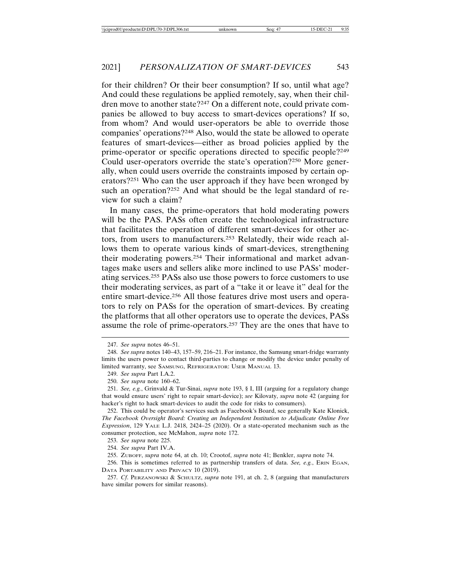for their children? Or their beer consumption? If so, until what age? And could these regulations be applied remotely, say, when their children move to another state?247 On a different note, could private companies be allowed to buy access to smart-devices operations? If so, from whom? And would user-operators be able to override those companies' operations?248 Also, would the state be allowed to operate features of smart-devices—either as broad policies applied by the prime-operator or specific operations directed to specific people?249 Could user-operators override the state's operation?250 More generally, when could users override the constraints imposed by certain operators?251 Who can the user approach if they have been wronged by such an operation?<sup>252</sup> And what should be the legal standard of review for such a claim?

In many cases, the prime-operators that hold moderating powers will be the PAS. PASs often create the technological infrastructure that facilitates the operation of different smart-devices for other actors, from users to manufacturers.253 Relatedly, their wide reach allows them to operate various kinds of smart-devices, strengthening their moderating powers.254 Their informational and market advantages make users and sellers alike more inclined to use PASs' moderating services.255 PASs also use those powers to force customers to use their moderating services, as part of a "take it or leave it" deal for the entire smart-device.256 All those features drive most users and operators to rely on PASs for the operation of smart-devices. By creating the platforms that all other operators use to operate the devices, PASs assume the role of prime-operators.257 They are the ones that have to

250. *See supra* note 160–62.

<sup>247.</sup> *See supra* notes 46–51.

<sup>248.</sup> *See supra* notes 140–43, 157–59, 216–21. For instance, the Samsung smart-fridge warranty limits the users power to contact third-parties to change or modify the device under penalty of limited warranty, see SAMSUNG, REFRIGERATOR: USER MANUAL 13.

<sup>249.</sup> *See supra* Part I.A.2.

<sup>251.</sup> *See, e.g.*, Grinvald & Tur-Sinai, *supra* note 193, § I, III (arguing for a regulatory change that would ensure users' right to repair smart-device); *see* Kilovaty, *supra* note 42 (arguing for hacker's right to hack smart-devices to audit the code for risks to consumers).

<sup>252.</sup> This could be operator's services such as Facebook's Board, see generally Kate Klonick, *The Facebook Oversight Board: Creating an Independent Institution to Adjudicate Online Free Expression*, 129 YALE L.J. 2418, 2424–25 (2020). Or a state-operated mechanism such as the consumer protection, see McMahon, *supra* note 172.

<sup>253.</sup> *See supra* note 225.

<sup>254.</sup> *See supra* Part IV.A.

<sup>255.</sup> ZUBOFF, *supra* note 64, at ch. 10; Crootof, *supra* note 41; Benkler, *supra* note 74.

<sup>256.</sup> This is sometimes referred to as partnership transfers of data. *See, e.g.*, ERIN EGAN, DATA PORTABILITY AND PRIVACY 10 (2019).

<sup>257.</sup> *Cf*. PERZANOWSKI & SCHULTZ, *supra* note 191, at ch. 2, 8 (arguing that manufacturers have similar powers for similar reasons).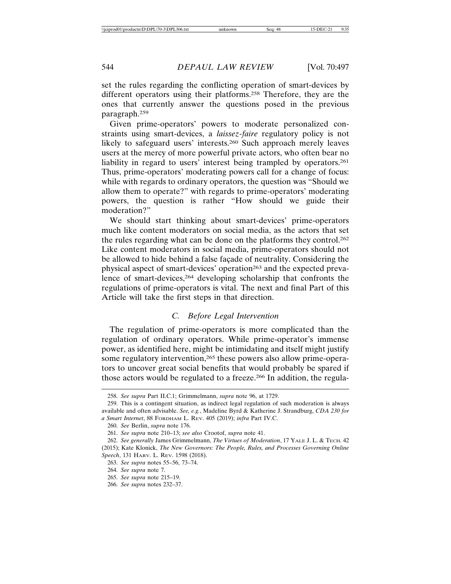set the rules regarding the conflicting operation of smart-devices by different operators using their platforms.258 Therefore, they are the ones that currently answer the questions posed in the previous paragraph.259

Given prime-operators' powers to moderate personalized constraints using smart-devices, a *laissez-faire* regulatory policy is not likely to safeguard users' interests.260 Such approach merely leaves users at the mercy of more powerful private actors, who often bear no liability in regard to users' interest being trampled by operators.<sup>261</sup> Thus, prime-operators' moderating powers call for a change of focus: while with regards to ordinary operators, the question was "Should we allow them to operate?" with regards to prime-operators' moderating powers, the question is rather "How should we guide their moderation?"

We should start thinking about smart-devices' prime-operators much like content moderators on social media, as the actors that set the rules regarding what can be done on the platforms they control.262 Like content moderators in social media, prime-operators should not be allowed to hide behind a false façade of neutrality. Considering the physical aspect of smart-devices' operation<sup>263</sup> and the expected prevalence of smart-devices,264 developing scholarship that confronts the regulations of prime-operators is vital. The next and final Part of this Article will take the first steps in that direction.

#### *C. Before Legal Intervention*

The regulation of prime-operators is more complicated than the regulation of ordinary operators. While prime-operator's immense power, as identified here, might be intimidating and itself might justify some regulatory intervention,<sup>265</sup> these powers also allow prime-operators to uncover great social benefits that would probably be spared if those actors would be regulated to a freeze.<sup>266</sup> In addition, the regula-

<sup>258.</sup> *See supra* Part II.C.1; Grimmelmann, *supra* note 96, at 1729.

<sup>259.</sup> This is a contingent situation, as indirect legal regulation of such moderation is always available and often advisable. *See, e.g.*, Madeline Byrd & Katherine J. Strandburg, *CDA 230 for a Smart Internet*, 88 FORDHAM L. REV. 405 (2019); *infra* Part IV.C.

<sup>260.</sup> *See* Berlin, *supra* note 176.

<sup>261.</sup> *See supra* note 210–13; *see also* Crootof, *supra* note 41.

<sup>262.</sup> *See generally* James Grimmelmann, *The Virtues of Moderation*, 17 YALE J. L. & TECH. 42 (2015); Kate Klonick, *The New Governors: The People, Rules, and Processes Governing Online Speech*, 131 HARV. L. REV. 1598 (2018).

<sup>263.</sup> *See supra* notes 55–56, 73–74.

<sup>264.</sup> *See supra* note 7.

<sup>265.</sup> *See supra* note 215–19.

<sup>266.</sup> *See supra* notes 232–37.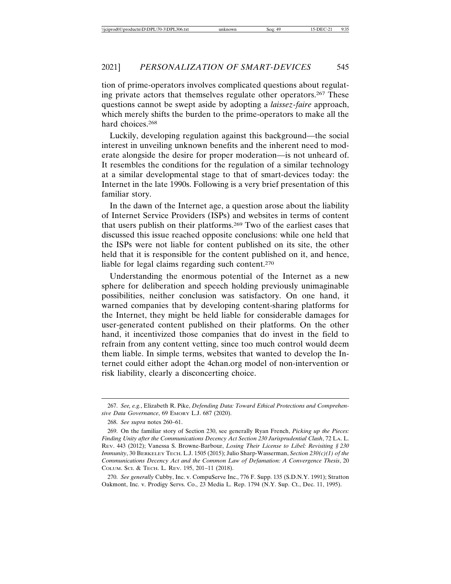tion of prime-operators involves complicated questions about regulating private actors that themselves regulate other operators.267 These questions cannot be swept aside by adopting a *laissez-faire* approach, which merely shifts the burden to the prime-operators to make all the hard choices.<sup>268</sup>

Luckily, developing regulation against this background—the social interest in unveiling unknown benefits and the inherent need to moderate alongside the desire for proper moderation—is not unheard of. It resembles the conditions for the regulation of a similar technology at a similar developmental stage to that of smart-devices today: the Internet in the late 1990s. Following is a very brief presentation of this familiar story.

In the dawn of the Internet age, a question arose about the liability of Internet Service Providers (ISPs) and websites in terms of content that users publish on their platforms.269 Two of the earliest cases that discussed this issue reached opposite conclusions: while one held that the ISPs were not liable for content published on its site, the other held that it is responsible for the content published on it, and hence, liable for legal claims regarding such content.<sup>270</sup>

Understanding the enormous potential of the Internet as a new sphere for deliberation and speech holding previously unimaginable possibilities, neither conclusion was satisfactory. On one hand, it warned companies that by developing content-sharing platforms for the Internet, they might be held liable for considerable damages for user-generated content published on their platforms. On the other hand, it incentivized those companies that do invest in the field to refrain from any content vetting, since too much control would deem them liable. In simple terms, websites that wanted to develop the Internet could either adopt the 4chan.org model of non-intervention or risk liability, clearly a disconcerting choice.

270. *See generally* Cubby, Inc. v. CompuServe Inc., 776 F. Supp. 135 (S.D.N.Y. 1991); Stratton Oakmont, Inc. v. Prodigy Servs. Co., 23 Media L. Rep. 1794 (N.Y. Sup. Ct., Dec. 11, 1995).

<sup>267.</sup> *See, e.g.*, Elizabeth R. Pike, *Defending Data: Toward Ethical Protections and Comprehensive Data Governance*, 69 EMORY L.J. 687 (2020).

<sup>268.</sup> *See supra* notes 260–61.

<sup>269.</sup> On the familiar story of Section 230, see generally Ryan French, *Picking up the Pieces: Finding Unity after the Communications Decency Act Section 230 Jurisprudential Clash*, 72 LA. L. REV. 443 (2012); Vanessa S. Browne-Barbour, *Losing Their License to Libel: Revisiting § 230 Immunity*, 30 BERKELEY TECH. L.J. 1505 (2015); Julio Sharp-Wasserman, *Section 230(c)(1) of the Communications Decency Act and the Common Law of Defamation: A Convergence Thesis*, 20 COLUM. SCI. & TECH. L. REV. 195, 201–11 (2018).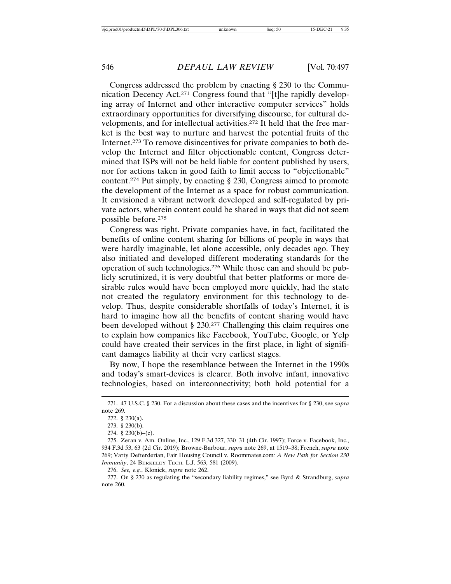Congress addressed the problem by enacting § 230 to the Communication Decency Act.271 Congress found that "[t]he rapidly developing array of Internet and other interactive computer services" holds extraordinary opportunities for diversifying discourse, for cultural developments, and for intellectual activities.272 It held that the free market is the best way to nurture and harvest the potential fruits of the Internet.273 To remove disincentives for private companies to both develop the Internet and filter objectionable content, Congress determined that ISPs will not be held liable for content published by users, nor for actions taken in good faith to limit access to "objectionable" content.274 Put simply, by enacting § 230, Congress aimed to promote the development of the Internet as a space for robust communication. It envisioned a vibrant network developed and self-regulated by private actors, wherein content could be shared in ways that did not seem possible before.275

Congress was right. Private companies have, in fact, facilitated the benefits of online content sharing for billions of people in ways that were hardly imaginable, let alone accessible, only decades ago. They also initiated and developed different moderating standards for the operation of such technologies.276 While those can and should be publicly scrutinized, it is very doubtful that better platforms or more desirable rules would have been employed more quickly, had the state not created the regulatory environment for this technology to develop. Thus, despite considerable shortfalls of today's Internet, it is hard to imagine how all the benefits of content sharing would have been developed without § 230.<sup>277</sup> Challenging this claim requires one to explain how companies like Facebook, YouTube, Google, or Yelp could have created their services in the first place, in light of significant damages liability at their very earliest stages.

By now, I hope the resemblance between the Internet in the 1990s and today's smart-devices is clearer. Both involve infant, innovative technologies, based on interconnectivity; both hold potential for a

276. *See, e.g.*, Klonick, *supra* note 262.

277. On § 230 as regulating the "secondary liability regimes," see Byrd & Strandburg, *supra* note 260.

<sup>271. 47</sup> U.S.C. § 230. For a discussion about these cases and the incentives for § 230, see *supra* note 269.

<sup>272. § 230(</sup>a).

<sup>273. § 230(</sup>b).

<sup>274. § 230(</sup>b)–(c).

<sup>275.</sup> Zeran v. Am. Online, Inc., 129 F.3d 327, 330–31 (4th Cir. 1997); Force v. Facebook, Inc., 934 F.3d 53, 63 (2d Cir. 2019); Browne-Barbour, *supra* note 269, at 1519–38; French, *supra* note 269; Varty Defterderian, Fair Housing Council v. Roommates.com*: A New Path for Section 230 Immunity*, 24 BERKELEY TECH. L.J. 563, 581 (2009).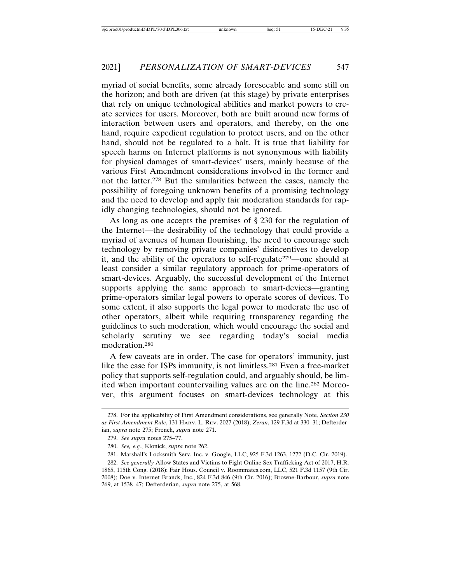myriad of social benefits, some already foreseeable and some still on the horizon; and both are driven (at this stage) by private enterprises that rely on unique technological abilities and market powers to create services for users. Moreover, both are built around new forms of interaction between users and operators, and thereby, on the one hand, require expedient regulation to protect users, and on the other hand, should not be regulated to a halt. It is true that liability for speech harms on Internet platforms is not synonymous with liability for physical damages of smart-devices' users, mainly because of the various First Amendment considerations involved in the former and not the latter.278 But the similarities between the cases, namely the possibility of foregoing unknown benefits of a promising technology and the need to develop and apply fair moderation standards for rapidly changing technologies, should not be ignored.

As long as one accepts the premises of § 230 for the regulation of the Internet—the desirability of the technology that could provide a myriad of avenues of human flourishing, the need to encourage such technology by removing private companies' disincentives to develop it, and the ability of the operators to self-regulate279—one should at least consider a similar regulatory approach for prime-operators of smart-devices. Arguably, the successful development of the Internet supports applying the same approach to smart-devices—granting prime-operators similar legal powers to operate scores of devices. To some extent, it also supports the legal power to moderate the use of other operators, albeit while requiring transparency regarding the guidelines to such moderation, which would encourage the social and scholarly scrutiny we see regarding today's social media moderation.280

A few caveats are in order. The case for operators' immunity, just like the case for ISPs immunity, is not limitless.281 Even a free-market policy that supports self-regulation could, and arguably should, be limited when important countervailing values are on the line.282 Moreover, this argument focuses on smart-devices technology at this

<sup>278.</sup> For the applicability of First Amendment considerations, see generally Note, *Section 230 as First Amendment Rule*, 131 HARV. L. REV. 2027 (2018); *Zeran*, 129 F.3d at 330–31; Defterderian, *supra* note 275; French, *supra* note 271.

<sup>279.</sup> *See supra* notes 275–77.

<sup>280.</sup> *See, e.g.*, Klonick, *supra* note 262.

<sup>281.</sup> Marshall's Locksmith Serv. Inc. v. Google, LLC, 925 F.3d 1263, 1272 (D.C. Cir. 2019).

<sup>282.</sup> *See generally* Allow States and Victims to Fight Online Sex Trafficking Act of 2017, H.R. 1865, 115th Cong. (2018); Fair Hous. Council v. Roommates.com, LLC, 521 F.3d 1157 (9th Cir. 2008); Doe v. Internet Brands, Inc., 824 F.3d 846 (9th Cir. 2016); Browne-Barbour, *supra* note 269, at 1538–47; Defterderian, *supra* note 275, at 568.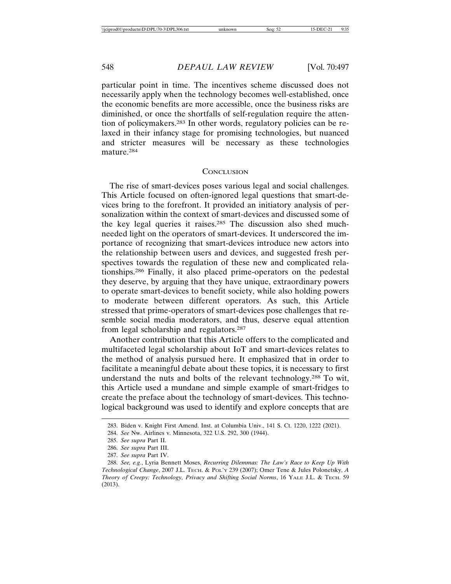particular point in time. The incentives scheme discussed does not necessarily apply when the technology becomes well-established, once the economic benefits are more accessible, once the business risks are diminished, or once the shortfalls of self-regulation require the attention of policymakers.283 In other words, regulatory policies can be relaxed in their infancy stage for promising technologies, but nuanced and stricter measures will be necessary as these technologies mature.284

#### **CONCLUSION**

The rise of smart-devices poses various legal and social challenges. This Article focused on often-ignored legal questions that smart-devices bring to the forefront. It provided an initiatory analysis of personalization within the context of smart-devices and discussed some of the key legal queries it raises.285 The discussion also shed muchneeded light on the operators of smart-devices. It underscored the importance of recognizing that smart-devices introduce new actors into the relationship between users and devices, and suggested fresh perspectives towards the regulation of these new and complicated relationships.286 Finally, it also placed prime-operators on the pedestal they deserve, by arguing that they have unique, extraordinary powers to operate smart-devices to benefit society, while also holding powers to moderate between different operators. As such, this Article stressed that prime-operators of smart-devices pose challenges that resemble social media moderators, and thus, deserve equal attention from legal scholarship and regulators.287

Another contribution that this Article offers to the complicated and multifaceted legal scholarship about IoT and smart-devices relates to the method of analysis pursued here. It emphasized that in order to facilitate a meaningful debate about these topics, it is necessary to first understand the nuts and bolts of the relevant technology.288 To wit, this Article used a mundane and simple example of smart-fridges to create the preface about the technology of smart-devices. This technological background was used to identify and explore concepts that are

<sup>283.</sup> Biden v. Knight First Amend. Inst. at Columbia Univ., 141 S. Ct. 1220, 1222 (2021).

<sup>284.</sup> *See* Nw. Airlines v. Minnesota, 322 U.S. 292, 300 (1944).

<sup>285.</sup> *See supra* Part II.

<sup>286.</sup> *See supra* Part III.

<sup>287.</sup> *See supra* Part IV.

<sup>288.</sup> *See, e.g.*, Lyria Bennett Moses, *Recurring Dilemmas: The Law's Race to Keep Up With Technological Change*, 2007 J.L. TECH. & POL'Y 239 (2007); Omer Tene & Jules Polonetsky, *A Theory of Creepy: Technology, Privacy and Shifting Social Norms*, 16 YALE J.L. & TECH. 59 (2013).